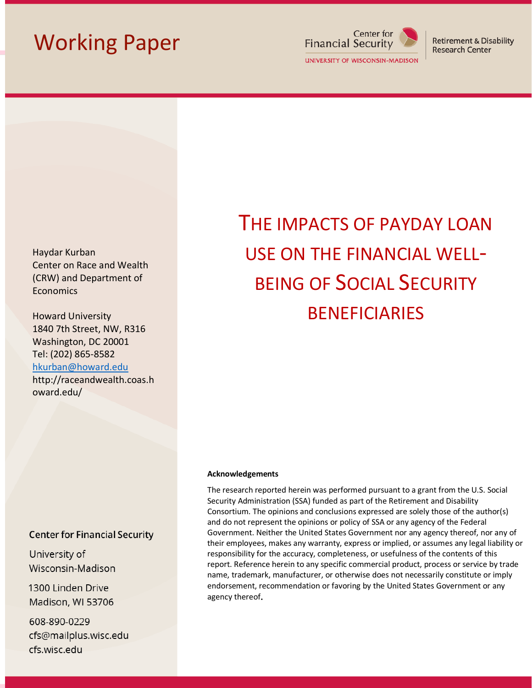## Working Paper



**Retirement & Disability Research Center** 

Haydar Kurban Center on Race and Wealth (CRW) and Department of **Economics** 

Howard University 1840 7th Street, NW, R316 Washington, DC 20001 Tel: (202) 865-8582 [hkurban@howard.edu](mailto:hkurban@howard.edu) http://raceandwealth.coas.h oward.edu/

### **Center for Financial Security**

University of Wisconsin-Madison

1300 Linden Drive Madison, WI 53706

608-890-0229 cfs@mailplus.wisc.edu cfs.wisc.edu

# THE IMPACTS OF PAYDAY LOAN USE ON THE FINANCIAL WELL-BEING OF SOCIAL SECURITY BENEFICIARIES

#### **Acknowledgements**

The research reported herein was performed pursuant to a grant from the U.S. Social Security Administration (SSA) funded as part of the Retirement and Disability Consortium. The opinions and conclusions expressed are solely those of the author(s) and do not represent the opinions or policy of SSA or any agency of the Federal Government. Neither the United States Government nor any agency thereof, nor any of their employees, makes any warranty, express or implied, or assumes any legal liability or responsibility for the accuracy, completeness, or usefulness of the contents of this report. Reference herein to any specific commercial product, process or service by trade name, trademark, manufacturer, or otherwise does not necessarily constitute or imply endorsement, recommendation or favoring by the United States Government or any agency thereof.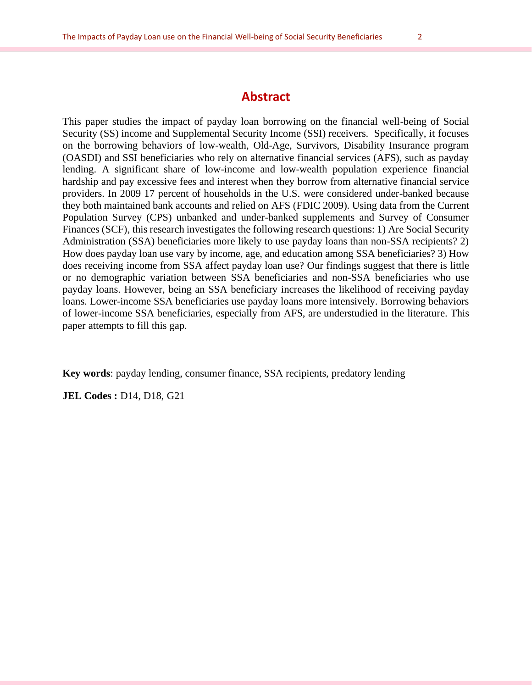## **Abstract**

This paper studies the impact of payday loan borrowing on the financial well-being of Social Security (SS) income and Supplemental Security Income (SSI) receivers. Specifically, it focuses on the borrowing behaviors of low-wealth, Old-Age, Survivors, Disability Insurance program (OASDI) and SSI beneficiaries who rely on alternative financial services (AFS), such as payday lending. A significant share of low-income and low-wealth population experience financial hardship and pay excessive fees and interest when they borrow from alternative financial service providers. In 2009 17 percent of households in the U.S. were considered under-banked because they both maintained bank accounts and relied on AFS (FDIC 2009). Using data from the Current Population Survey (CPS) unbanked and under-banked supplements and Survey of Consumer Finances (SCF), this research investigates the following research questions: 1) Are Social Security Administration (SSA) beneficiaries more likely to use payday loans than non-SSA recipients? 2) How does payday loan use vary by income, age, and education among SSA beneficiaries? 3) How does receiving income from SSA affect payday loan use? Our findings suggest that there is little or no demographic variation between SSA beneficiaries and non-SSA beneficiaries who use payday loans. However, being an SSA beneficiary increases the likelihood of receiving payday loans. Lower-income SSA beneficiaries use payday loans more intensively. Borrowing behaviors of lower-income SSA beneficiaries, especially from AFS, are understudied in the literature. This paper attempts to fill this gap.

**Key words**: payday lending, consumer finance, SSA recipients, predatory lending

**JEL Codes :** D14, D18, G21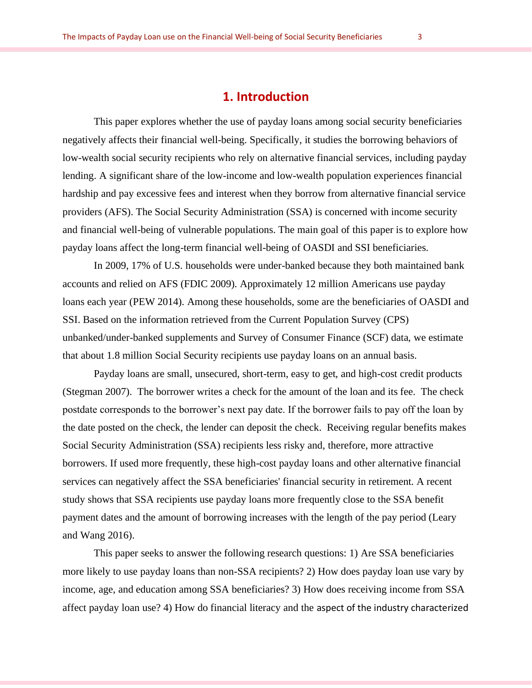## **1. Introduction**

This paper explores whether the use of payday loans among social security beneficiaries negatively affects their financial well-being. Specifically, it studies the borrowing behaviors of low-wealth social security recipients who rely on alternative financial services, including payday lending. A significant share of the low-income and low-wealth population experiences financial hardship and pay excessive fees and interest when they borrow from alternative financial service providers (AFS). The Social Security Administration (SSA) is concerned with income security and financial well-being of vulnerable populations. The main goal of this paper is to explore how payday loans affect the long-term financial well-being of OASDI and SSI beneficiaries.

In 2009, 17% of U.S. households were under-banked because they both maintained bank accounts and relied on AFS (FDIC 2009). Approximately 12 million Americans use payday loans each year (PEW 2014). Among these households, some are the beneficiaries of OASDI and SSI. Based on the information retrieved from the Current Population Survey (CPS) unbanked/under-banked supplements and Survey of Consumer Finance (SCF) data, we estimate that about 1.8 million Social Security recipients use payday loans on an annual basis.

Payday loans are small, unsecured, short-term, easy to get, and high-cost credit products (Stegman 2007). The borrower writes a check for the amount of the loan and its fee. The check postdate corresponds to the borrower's next pay date. If the borrower fails to pay off the loan by the date posted on the check, the lender can deposit the check. Receiving regular benefits makes Social Security Administration (SSA) recipients less risky and, therefore, more attractive borrowers. If used more frequently, these high-cost payday loans and other alternative financial services can negatively affect the SSA beneficiaries' financial security in retirement. A recent study shows that SSA recipients use payday loans more frequently close to the SSA benefit payment dates and the amount of borrowing increases with the length of the pay period (Leary and Wang 2016).

This paper seeks to answer the following research questions: 1) Are SSA beneficiaries more likely to use payday loans than non-SSA recipients? 2) How does payday loan use vary by income, age, and education among SSA beneficiaries? 3) How does receiving income from SSA affect payday loan use? 4) How do financial literacy and the aspect of the industry characterized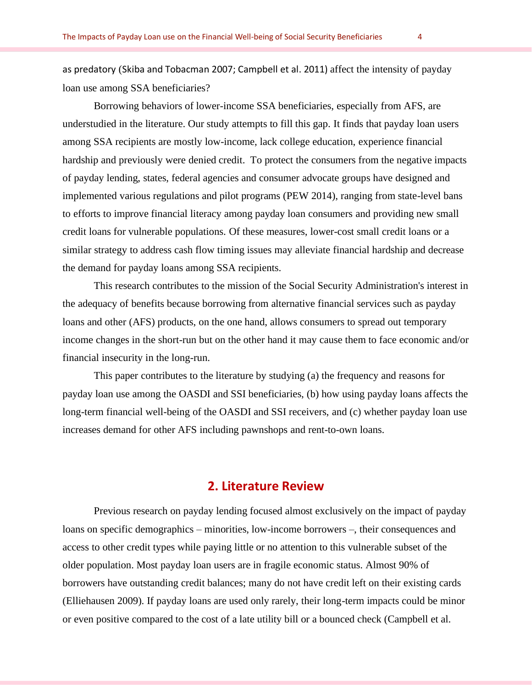as predatory (Skiba and Tobacman 2007; Campbell et al. 2011) affect the intensity of payday loan use among SSA beneficiaries?

Borrowing behaviors of lower-income SSA beneficiaries, especially from AFS, are understudied in the literature. Our study attempts to fill this gap. It finds that payday loan users among SSA recipients are mostly low-income, lack college education, experience financial hardship and previously were denied credit. To protect the consumers from the negative impacts of payday lending, states, federal agencies and consumer advocate groups have designed and implemented various regulations and pilot programs (PEW 2014), ranging from state-level bans to efforts to improve financial literacy among payday loan consumers and providing new small credit loans for vulnerable populations. Of these measures, lower-cost small credit loans or a similar strategy to address cash flow timing issues may alleviate financial hardship and decrease the demand for payday loans among SSA recipients.

This research contributes to the mission of the Social Security Administration's interest in the adequacy of benefits because borrowing from alternative financial services such as payday loans and other (AFS) products, on the one hand, allows consumers to spread out temporary income changes in the short-run but on the other hand it may cause them to face economic and/or financial insecurity in the long-run.

This paper contributes to the literature by studying (a) the frequency and reasons for payday loan use among the OASDI and SSI beneficiaries, (b) how using payday loans affects the long-term financial well-being of the OASDI and SSI receivers, and (c) whether payday loan use increases demand for other AFS including pawnshops and rent-to-own loans.

## **2. Literature Review**

Previous research on payday lending focused almost exclusively on the impact of payday loans on specific demographics – minorities, low-income borrowers –, their consequences and access to other credit types while paying little or no attention to this vulnerable subset of the older population. Most payday loan users are in fragile economic status. Almost 90% of borrowers have outstanding credit balances; many do not have credit left on their existing cards (Elliehausen 2009). If payday loans are used only rarely, their long-term impacts could be minor or even positive compared to the cost of a late utility bill or a bounced check (Campbell et al.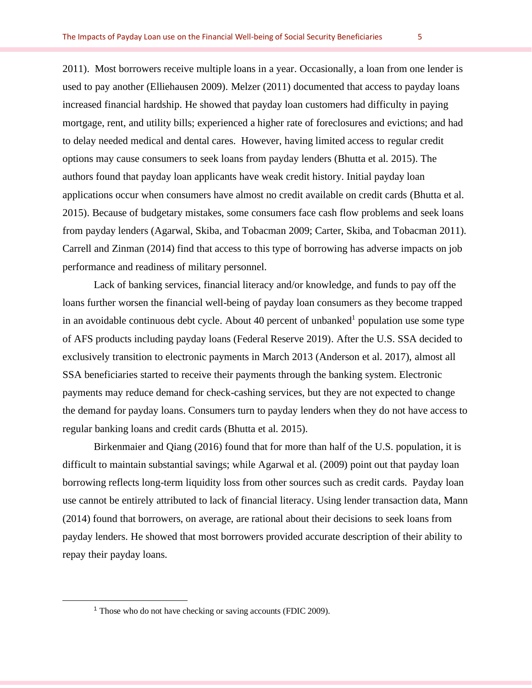2011). Most borrowers receive multiple loans in a year. Occasionally, a loan from one lender is used to pay another (Elliehausen 2009). Melzer (2011) documented that access to payday loans increased financial hardship. He showed that payday loan customers had difficulty in paying mortgage, rent, and utility bills; experienced a higher rate of foreclosures and evictions; and had to delay needed medical and dental cares. However, having limited access to regular credit options may cause consumers to seek loans from payday lenders (Bhutta et al. 2015). The authors found that payday loan applicants have weak credit history. Initial payday loan applications occur when consumers have almost no credit available on credit cards (Bhutta et al. 2015). Because of budgetary mistakes, some consumers face cash flow problems and seek loans from payday lenders (Agarwal, Skiba, and Tobacman 2009; Carter, Skiba, and Tobacman 2011). Carrell and Zinman (2014) find that access to this type of borrowing has adverse impacts on job performance and readiness of military personnel.

Lack of banking services, financial literacy and/or knowledge, and funds to pay off the loans further worsen the financial well-being of payday loan consumers as they become trapped in an avoidable continuous debt cycle. About 40 percent of unbanked<sup>1</sup> population use some type of AFS products including payday loans (Federal Reserve 2019). After the U.S. SSA decided to exclusively transition to electronic payments in March 2013 (Anderson et al. 2017), almost all SSA beneficiaries started to receive their payments through the banking system. Electronic payments may reduce demand for check-cashing services, but they are not expected to change the demand for payday loans. Consumers turn to payday lenders when they do not have access to regular banking loans and credit cards (Bhutta et al. 2015).

Birkenmaier and Qiang (2016) found that for more than half of the U.S. population, it is difficult to maintain substantial savings; while Agarwal et al. (2009) point out that payday loan borrowing reflects long-term liquidity loss from other sources such as credit cards. Payday loan use cannot be entirely attributed to lack of financial literacy. Using lender transaction data, Mann (2014) found that borrowers, on average, are rational about their decisions to seek loans from payday lenders. He showed that most borrowers provided accurate description of their ability to repay their payday loans.

<sup>1</sup> Those who do not have checking or saving accounts (FDIC 2009).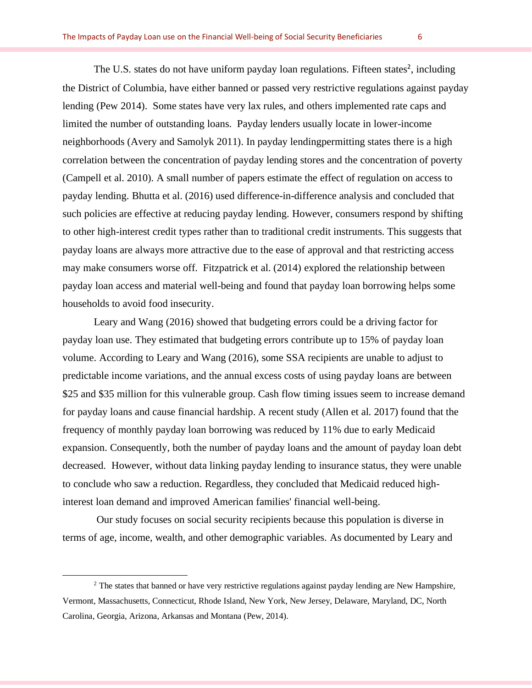The U.S. states do not have uniform payday loan regulations. Fifteen states<sup>2</sup>, including the District of Columbia, have either banned or passed very restrictive regulations against payday lending (Pew 2014). Some states have very lax rules, and others implemented rate caps and limited the number of outstanding loans. Payday lenders usually locate in lower-income neighborhoods (Avery and Samolyk 2011). In payday lendingpermitting states there is a high correlation between the concentration of payday lending stores and the concentration of poverty (Campell et al. 2010). A small number of papers estimate the effect of regulation on access to payday lending. Bhutta et al. (2016) used difference-in-difference analysis and concluded that such policies are effective at reducing payday lending. However, consumers respond by shifting to other high-interest credit types rather than to traditional credit instruments. This suggests that payday loans are always more attractive due to the ease of approval and that restricting access may make consumers worse off. Fitzpatrick et al. (2014) explored the relationship between payday loan access and material well-being and found that payday loan borrowing helps some households to avoid food insecurity.

Leary and Wang (2016) showed that budgeting errors could be a driving factor for payday loan use. They estimated that budgeting errors contribute up to 15% of payday loan volume. According to Leary and Wang (2016), some SSA recipients are unable to adjust to predictable income variations, and the annual excess costs of using payday loans are between \$25 and \$35 million for this vulnerable group. Cash flow timing issues seem to increase demand for payday loans and cause financial hardship. A recent study (Allen et al. 2017) found that the frequency of monthly payday loan borrowing was reduced by 11% due to early Medicaid expansion. Consequently, both the number of payday loans and the amount of payday loan debt decreased. However, without data linking payday lending to insurance status, they were unable to conclude who saw a reduction. Regardless, they concluded that Medicaid reduced highinterest loan demand and improved American families' financial well-being.

Our study focuses on social security recipients because this population is diverse in terms of age, income, wealth, and other demographic variables. As documented by Leary and

<sup>&</sup>lt;sup>2</sup> The states that banned or have very restrictive regulations against payday lending are New Hampshire, Vermont, Massachusetts, Connecticut, Rhode Island, New York, New Jersey, Delaware, Maryland, DC, North Carolina, Georgia, Arizona, Arkansas and Montana (Pew, 2014).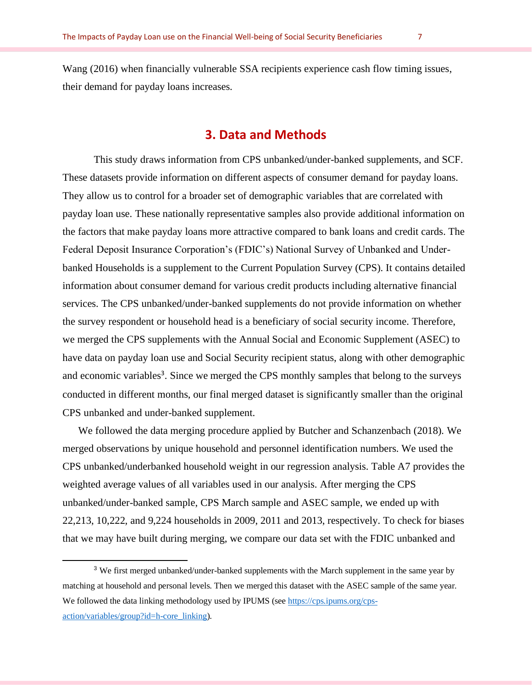Wang (2016) when financially vulnerable SSA recipients experience cash flow timing issues, their demand for payday loans increases.

## **3. Data and Methods**

This study draws information from CPS unbanked/under-banked supplements, and SCF. These datasets provide information on different aspects of consumer demand for payday loans. They allow us to control for a broader set of demographic variables that are correlated with payday loan use. These nationally representative samples also provide additional information on the factors that make payday loans more attractive compared to bank loans and credit cards. The Federal Deposit Insurance Corporation's (FDIC's) National Survey of Unbanked and Underbanked Households is a supplement to the Current Population Survey (CPS). It contains detailed information about consumer demand for various credit products including alternative financial services. The CPS unbanked/under-banked supplements do not provide information on whether the survey respondent or household head is a beneficiary of social security income. Therefore, we merged the CPS supplements with the Annual Social and Economic Supplement (ASEC) to have data on payday loan use and Social Security recipient status, along with other demographic and economic variables<sup>3</sup>. Since we merged the CPS monthly samples that belong to the surveys conducted in different months, our final merged dataset is significantly smaller than the original CPS unbanked and under-banked supplement.

We followed the data merging procedure applied by Butcher and Schanzenbach (2018). We merged observations by unique household and personnel identification numbers. We used the CPS unbanked/underbanked household weight in our regression analysis. Table A7 provides the weighted average values of all variables used in our analysis. After merging the CPS unbanked/under-banked sample, CPS March sample and ASEC sample, we ended up with 22,213, 10,222, and 9,224 households in 2009, 2011 and 2013, respectively. To check for biases that we may have built during merging, we compare our data set with the FDIC unbanked and

<sup>&</sup>lt;sup>3</sup> We first merged unbanked/under-banked supplements with the March supplement in the same year by matching at household and personal levels. Then we merged this dataset with the ASEC sample of the same year. We followed the data linking methodology used by IPUMS (se[e https://cps.ipums.org/cps](https://cps.ipums.org/cps-action/variables/group?id=h-core_linking)[action/variables/group?id=h-core\\_linking\)](https://cps.ipums.org/cps-action/variables/group?id=h-core_linking).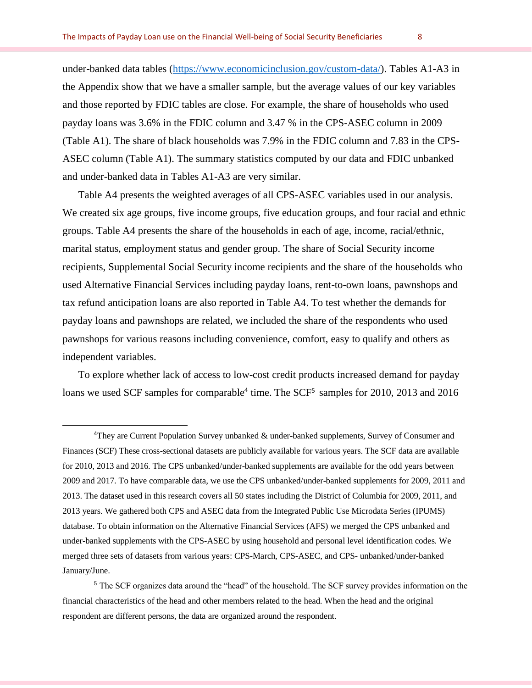under-banked data tables [\(https://www.economicinclusion.gov/custom-data/\)](https://www.economicinclusion.gov/custom-data/). Tables A1-A3 in the Appendix show that we have a smaller sample, but the average values of our key variables and those reported by FDIC tables are close. For example, the share of households who used payday loans was 3.6% in the FDIC column and 3.47 % in the CPS-ASEC column in 2009 (Table A1). The share of black households was 7.9% in the FDIC column and 7.83 in the CPS-ASEC column (Table A1). The summary statistics computed by our data and FDIC unbanked and under-banked data in Tables A1-A3 are very similar.

Table A4 presents the weighted averages of all CPS-ASEC variables used in our analysis. We created six age groups, five income groups, five education groups, and four racial and ethnic groups. Table A4 presents the share of the households in each of age, income, racial/ethnic, marital status, employment status and gender group. The share of Social Security income recipients, Supplemental Social Security income recipients and the share of the households who used Alternative Financial Services including payday loans, rent-to-own loans, pawnshops and tax refund anticipation loans are also reported in Table A4. To test whether the demands for payday loans and pawnshops are related, we included the share of the respondents who used pawnshops for various reasons including convenience, comfort, easy to qualify and others as independent variables.

To explore whether lack of access to low-cost credit products increased demand for payday loans we used SCF samples for comparable<sup>4</sup> time. The SCF<sup>5</sup> samples for 2010, 2013 and 2016

<sup>4</sup>They are Current Population Survey unbanked & under-banked supplements, Survey of Consumer and Finances (SCF) These cross-sectional datasets are publicly available for various years. The SCF data are available for 2010, 2013 and 2016. The CPS unbanked/under-banked supplements are available for the odd years between 2009 and 2017. To have comparable data, we use the CPS unbanked/under-banked supplements for 2009, 2011 and 2013. The dataset used in this research covers all 50 states including the District of Columbia for 2009, 2011, and 2013 years. We gathered both CPS and ASEC data from the Integrated Public Use Microdata Series (IPUMS) database. To obtain information on the Alternative Financial Services (AFS) we merged the CPS unbanked and under-banked supplements with the CPS-ASEC by using household and personal level identification codes. We merged three sets of datasets from various years: CPS-March, CPS-ASEC, and CPS- unbanked/under-banked January/June.

<sup>5</sup> The SCF organizes data around the "head" of the household. The SCF survey provides information on the financial characteristics of the head and other members related to the head. When the head and the original respondent are different persons, the data are organized around the respondent.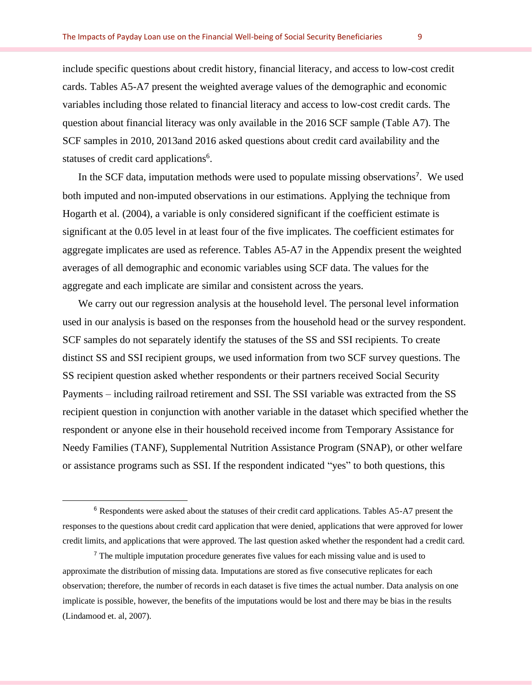include specific questions about credit history, financial literacy, and access to low-cost credit cards. Tables A5-A7 present the weighted average values of the demographic and economic variables including those related to financial literacy and access to low-cost credit cards. The question about financial literacy was only available in the 2016 SCF sample (Table A7). The SCF samples in 2010, 2013and 2016 asked questions about credit card availability and the statuses of credit card applications<sup>6</sup>.

In the SCF data, imputation methods were used to populate missing observations<sup>7</sup>. We used both imputed and non-imputed observations in our estimations. Applying the technique from Hogarth et al. (2004), a variable is only considered significant if the coefficient estimate is significant at the 0.05 level in at least four of the five implicates. The coefficient estimates for aggregate implicates are used as reference. Tables A5-A7 in the Appendix present the weighted averages of all demographic and economic variables using SCF data. The values for the aggregate and each implicate are similar and consistent across the years.

We carry out our regression analysis at the household level. The personal level information used in our analysis is based on the responses from the household head or the survey respondent. SCF samples do not separately identify the statuses of the SS and SSI recipients. To create distinct SS and SSI recipient groups, we used information from two SCF survey questions. The SS recipient question asked whether respondents or their partners received Social Security Payments – including railroad retirement and SSI. The SSI variable was extracted from the SS recipient question in conjunction with another variable in the dataset which specified whether the respondent or anyone else in their household received income from Temporary Assistance for Needy Families (TANF), Supplemental Nutrition Assistance Program (SNAP), or other welfare or assistance programs such as SSI. If the respondent indicated "yes" to both questions, this

<sup>6</sup> Respondents were asked about the statuses of their credit card applications. Tables A5-A7 present the responses to the questions about credit card application that were denied, applications that were approved for lower credit limits, and applications that were approved. The last question asked whether the respondent had a credit card.

<sup>&</sup>lt;sup>7</sup> The multiple imputation procedure generates five values for each missing value and is used to approximate the distribution of missing data. Imputations are stored as five consecutive replicates for each observation; therefore, the number of records in each dataset is five times the actual number. Data analysis on one implicate is possible, however, the benefits of the imputations would be lost and there may be bias in the results (Lindamood et. al, 2007).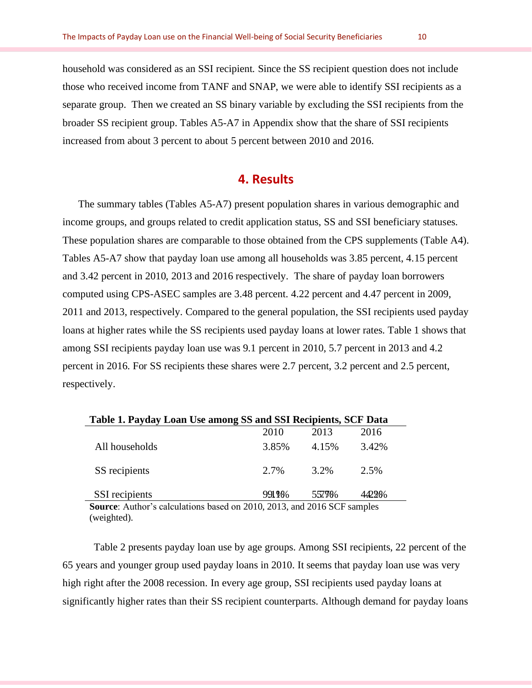household was considered as an SSI recipient. Since the SS recipient question does not include those who received income from TANF and SNAP, we were able to identify SSI recipients as a separate group. Then we created an SS binary variable by excluding the SSI recipients from the broader SS recipient group. Tables A5-A7 in Appendix show that the share of SSI recipients increased from about 3 percent to about 5 percent between 2010 and 2016.

## **4. Results**

The summary tables (Tables A5-A7) present population shares in various demographic and income groups, and groups related to credit application status, SS and SSI beneficiary statuses. These population shares are comparable to those obtained from the CPS supplements (Table A4). Tables A5-A7 show that payday loan use among all households was 3.85 percent, 4.15 percent and 3.42 percent in 2010, 2013 and 2016 respectively. The share of payday loan borrowers computed using CPS-ASEC samples are 3.48 percent. 4.22 percent and 4.47 percent in 2009, 2011 and 2013, respectively. Compared to the general population, the SSI recipients used payday loans at higher rates while the SS recipients used payday loans at lower rates. Table 1 shows that among SSI recipients payday loan use was 9.1 percent in 2010, 5.7 percent in 2013 and 4.2 percent in 2016. For SS recipients these shares were 2.7 percent, 3.2 percent and 2.5 percent, respectively.

| Table 1. Payday Loan Use among SS and SSI Recipients, SCF Data          |       |        |         |
|-------------------------------------------------------------------------|-------|--------|---------|
|                                                                         | 2010  | 2013   | 2016    |
| All households                                                          | 3.85% | 4.15%  | 3.42%   |
| SS recipients                                                           | 2.7%  | 3.2%   | $2.5\%$ |
| SSI recipients                                                          | 991 % | 557986 | 442.20% |
| Source: Author's calculations based on 2010, 2013, and 2016 SCF samples |       |        |         |

(weighted).

Table 2 presents payday loan use by age groups. Among SSI recipients, 22 percent of the 65 years and younger group used payday loans in 2010. It seems that payday loan use was very high right after the 2008 recession. In every age group, SSI recipients used payday loans at significantly higher rates than their SS recipient counterparts. Although demand for payday loans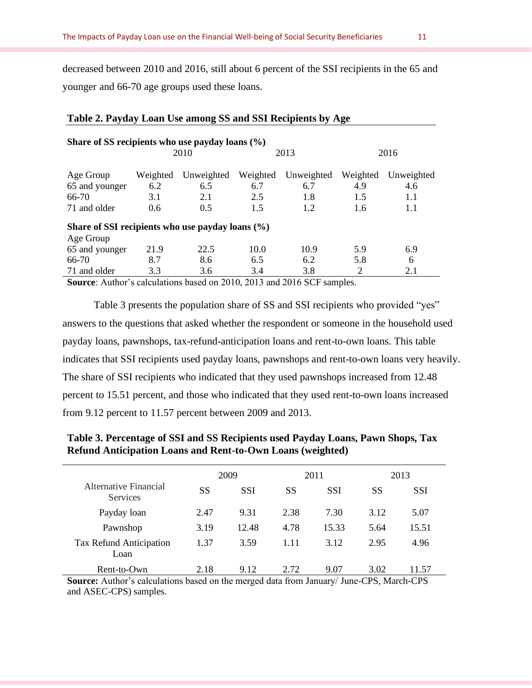decreased between 2010 and 2016, still about 6 percent of the SSI recipients in the 65 and younger and 66-70 age groups used these loans.

| Table 2. Payday Loan Use among SS and SSI Recipients by Age |               |            |          |            |          |            |
|-------------------------------------------------------------|---------------|------------|----------|------------|----------|------------|
| Share of SS recipients who use payday loans $(\% )$         |               |            |          |            |          |            |
|                                                             |               | 2010       |          | 2013       |          | 2016       |
| Age Group                                                   | Weighted      | Unweighted | Weighted | Unweighted | Weighted | Unweighted |
| 65 and younger                                              | 6.2           | 6.5        | 6.7      | 6.7        | 4.9      | 4.6        |
| $66-70$                                                     | 3.1           | 2.1        | 2.5      | 1.8        | 1.5      | 1.1        |
| 71 and older                                                | $0.6^{\circ}$ | 0.5        | 1.5      | 1.2        | 1.6      | 1.1        |
| Share of SSI recipients who use payday loans (%)            |               |            |          |            |          |            |
| Age Group                                                   |               |            |          |            |          |            |
| 65 and younger                                              | 21.9          | 22.5       | 10.0     | 10.9       | 5.9      | 6.9        |
| $66-70$                                                     | 8.7           | 8.6        | 6.5      | 6.2        | 5.8      | 6          |
| 71 and older                                                | 3.3           | 3.6        | 3.4      | 3.8        | 2        | 2.1        |

**Source**: Author's calculations based on 2010, 2013 and 2016 SCF samples.

Table 3 presents the population share of SS and SSI recipients who provided "yes" answers to the questions that asked whether the respondent or someone in the household used payday loans, pawnshops, tax-refund-anticipation loans and rent-to-own loans. This table indicates that SSI recipients used payday loans, pawnshops and rent-to-own loans very heavily. The share of SSI recipients who indicated that they used pawnshops increased from 12.48 percent to 15.51 percent, and those who indicated that they used rent-to-own loans increased from 9.12 percent to 11.57 percent between 2009 and 2013.

| Table 3. Percentage of SSI and SS Recipients used Payday Loans, Pawn Shops, Tax |
|---------------------------------------------------------------------------------|
| <b>Refund Anticipation Loans and Rent-to-Own Loans (weighted)</b>               |

|                                          |      | 2009       |      | 2011       |      | 2013  |  |
|------------------------------------------|------|------------|------|------------|------|-------|--|
| Alternative Financial<br><b>Services</b> | SS   | <b>SSI</b> | SS   | <b>SSI</b> | SS   | SSI   |  |
| Payday loan                              | 2.47 | 9.31       | 2.38 | 7.30       | 3.12 | 5.07  |  |
| Pawnshop                                 | 3.19 | 12.48      | 4.78 | 15.33      | 5.64 | 15.51 |  |
| Tax Refund Anticipation<br>Loan          | 1.37 | 3.59       | 1.11 | 3.12       | 2.95 | 4.96  |  |
| Rent-to-Own                              | 2.18 | 9.12       | 2.72 | 9.07       | 3.02 | 11.57 |  |

**Source:** Author's calculations based on the merged data from January/ June-CPS, March-CPS and ASEC-CPS) samples.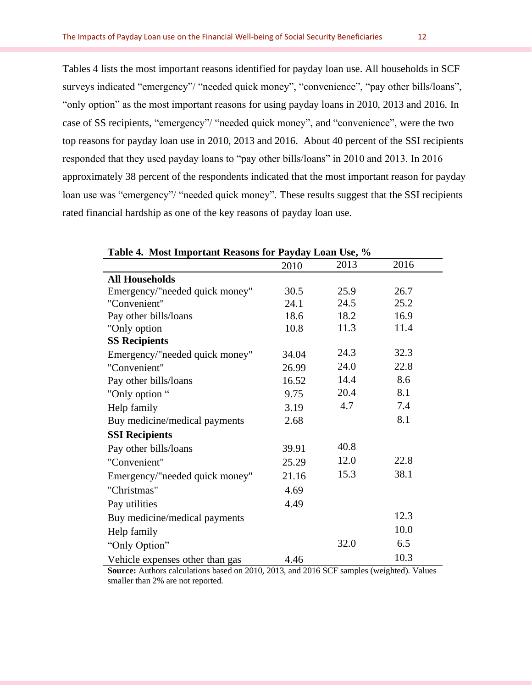Tables 4 lists the most important reasons identified for payday loan use. All households in SCF surveys indicated "emergency"/ "needed quick money", "convenience", "pay other bills/loans", "only option" as the most important reasons for using payday loans in 2010, 2013 and 2016. In case of SS recipients, "emergency"/ "needed quick money", and "convenience", were the two top reasons for payday loan use in 2010, 2013 and 2016. About 40 percent of the SSI recipients responded that they used payday loans to "pay other bills/loans" in 2010 and 2013. In 2016 approximately 38 percent of the respondents indicated that the most important reason for payday loan use was "emergency"/ "needed quick money". These results suggest that the SSI recipients rated financial hardship as one of the key reasons of payday loan use.

|                                 | 2010  | 2013 | 2016 |  |
|---------------------------------|-------|------|------|--|
| <b>All Households</b>           |       |      |      |  |
| Emergency/"needed quick money"  | 30.5  | 25.9 | 26.7 |  |
| "Convenient"                    | 24.1  | 24.5 | 25.2 |  |
| Pay other bills/loans           | 18.6  | 18.2 | 16.9 |  |
| "Only option                    | 10.8  | 11.3 | 11.4 |  |
| <b>SS Recipients</b>            |       |      |      |  |
| Emergency/"needed quick money"  | 34.04 | 24.3 | 32.3 |  |
| "Convenient"                    | 26.99 | 24.0 | 22.8 |  |
| Pay other bills/loans           | 16.52 | 14.4 | 8.6  |  |
| "Only option "                  | 9.75  | 20.4 | 8.1  |  |
| Help family                     | 3.19  | 4.7  | 7.4  |  |
| Buy medicine/medical payments   | 2.68  |      | 8.1  |  |
| <b>SSI Recipients</b>           |       |      |      |  |
| Pay other bills/loans           | 39.91 | 40.8 |      |  |
| "Convenient"                    | 25.29 | 12.0 | 22.8 |  |
| Emergency/"needed quick money"  | 21.16 | 15.3 | 38.1 |  |
| "Christmas"                     | 4.69  |      |      |  |
| Pay utilities                   | 4.49  |      |      |  |
| Buy medicine/medical payments   |       |      | 12.3 |  |
| Help family                     |       |      | 10.0 |  |
| "Only Option"                   |       | 32.0 | 6.5  |  |
| Vehicle expenses other than gas | 4.46  |      | 10.3 |  |

**Table 4. Most Important Reasons for Payday Loan Use, %**

**Source:** Authors calculations based on 2010, 2013, and 2016 SCF samples (weighted). Values smaller than 2% are not reported.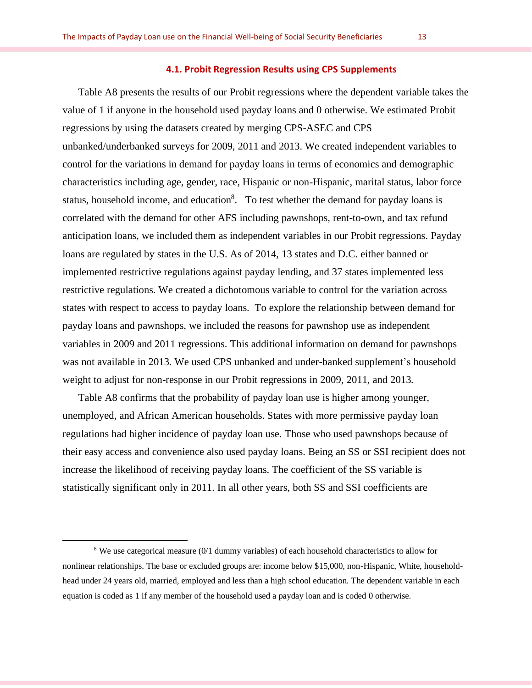#### **4.1. Probit Regression Results using CPS Supplements**

Table A8 presents the results of our Probit regressions where the dependent variable takes the value of 1 if anyone in the household used payday loans and 0 otherwise. We estimated Probit regressions by using the datasets created by merging CPS-ASEC and CPS unbanked/underbanked surveys for 2009, 2011 and 2013. We created independent variables to control for the variations in demand for payday loans in terms of economics and demographic characteristics including age, gender, race, Hispanic or non-Hispanic, marital status, labor force status, household income, and education<sup>8</sup>. To test whether the demand for payday loans is correlated with the demand for other AFS including pawnshops, rent-to-own, and tax refund anticipation loans, we included them as independent variables in our Probit regressions. Payday loans are regulated by states in the U.S. As of 2014, 13 states and D.C. either banned or implemented restrictive regulations against payday lending, and 37 states implemented less restrictive regulations. We created a dichotomous variable to control for the variation across states with respect to access to payday loans. To explore the relationship between demand for payday loans and pawnshops, we included the reasons for pawnshop use as independent variables in 2009 and 2011 regressions. This additional information on demand for pawnshops was not available in 2013. We used CPS unbanked and under-banked supplement's household weight to adjust for non-response in our Probit regressions in 2009, 2011, and 2013.

Table A8 confirms that the probability of payday loan use is higher among younger, unemployed, and African American households. States with more permissive payday loan regulations had higher incidence of payday loan use. Those who used pawnshops because of their easy access and convenience also used payday loans. Being an SS or SSI recipient does not increase the likelihood of receiving payday loans. The coefficient of the SS variable is statistically significant only in 2011. In all other years, both SS and SSI coefficients are

<sup>8</sup> We use categorical measure (0/1 dummy variables) of each household characteristics to allow for nonlinear relationships. The base or excluded groups are: income below \$15,000, non-Hispanic, White, householdhead under 24 years old, married, employed and less than a high school education. The dependent variable in each equation is coded as 1 if any member of the household used a payday loan and is coded 0 otherwise.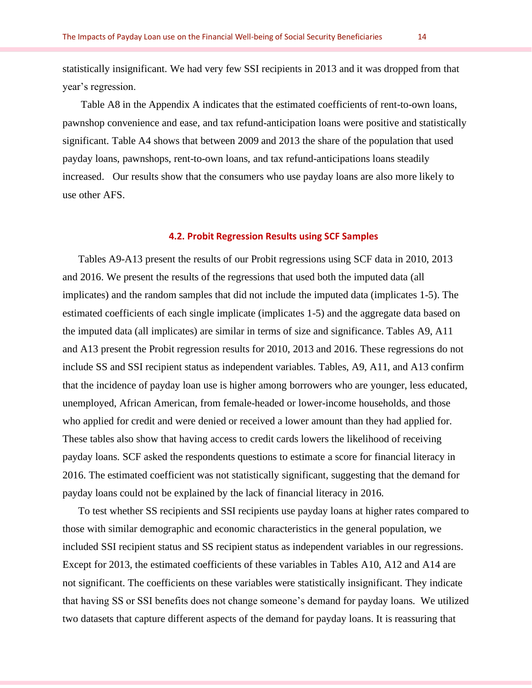statistically insignificant. We had very few SSI recipients in 2013 and it was dropped from that year's regression.

Table A8 in the Appendix A indicates that the estimated coefficients of rent-to-own loans, pawnshop convenience and ease, and tax refund-anticipation loans were positive and statistically significant. Table A4 shows that between 2009 and 2013 the share of the population that used payday loans, pawnshops, rent-to-own loans, and tax refund-anticipations loans steadily increased. Our results show that the consumers who use payday loans are also more likely to use other AFS.

#### **4.2. Probit Regression Results using SCF Samples**

Tables A9-A13 present the results of our Probit regressions using SCF data in 2010, 2013 and 2016. We present the results of the regressions that used both the imputed data (all implicates) and the random samples that did not include the imputed data (implicates 1-5). The estimated coefficients of each single implicate (implicates 1-5) and the aggregate data based on the imputed data (all implicates) are similar in terms of size and significance. Tables A9, A11 and A13 present the Probit regression results for 2010, 2013 and 2016. These regressions do not include SS and SSI recipient status as independent variables. Tables, A9, A11, and A13 confirm that the incidence of payday loan use is higher among borrowers who are younger, less educated, unemployed, African American, from female-headed or lower-income households, and those who applied for credit and were denied or received a lower amount than they had applied for. These tables also show that having access to credit cards lowers the likelihood of receiving payday loans. SCF asked the respondents questions to estimate a score for financial literacy in 2016. The estimated coefficient was not statistically significant, suggesting that the demand for payday loans could not be explained by the lack of financial literacy in 2016.

To test whether SS recipients and SSI recipients use payday loans at higher rates compared to those with similar demographic and economic characteristics in the general population, we included SSI recipient status and SS recipient status as independent variables in our regressions. Except for 2013, the estimated coefficients of these variables in Tables A10, A12 and A14 are not significant. The coefficients on these variables were statistically insignificant. They indicate that having SS or SSI benefits does not change someone's demand for payday loans. We utilized two datasets that capture different aspects of the demand for payday loans. It is reassuring that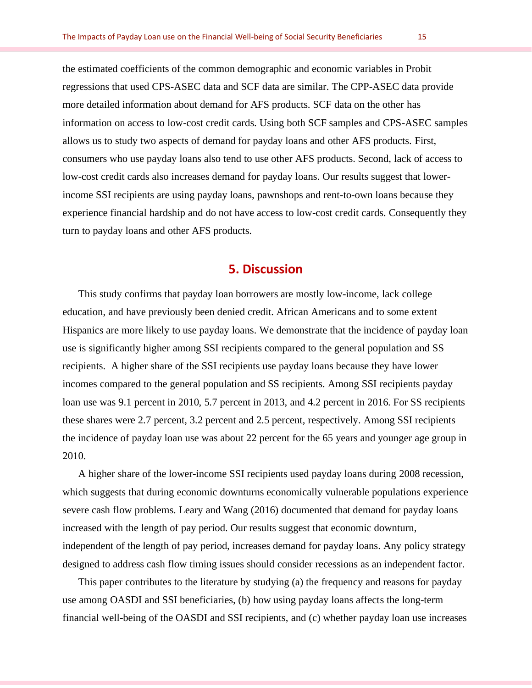the estimated coefficients of the common demographic and economic variables in Probit regressions that used CPS-ASEC data and SCF data are similar. The CPP-ASEC data provide more detailed information about demand for AFS products. SCF data on the other has information on access to low-cost credit cards. Using both SCF samples and CPS-ASEC samples allows us to study two aspects of demand for payday loans and other AFS products. First, consumers who use payday loans also tend to use other AFS products. Second, lack of access to low-cost credit cards also increases demand for payday loans. Our results suggest that lowerincome SSI recipients are using payday loans, pawnshops and rent-to-own loans because they experience financial hardship and do not have access to low-cost credit cards. Consequently they turn to payday loans and other AFS products.

## **5. Discussion**

This study confirms that payday loan borrowers are mostly low-income, lack college education, and have previously been denied credit. African Americans and to some extent Hispanics are more likely to use payday loans. We demonstrate that the incidence of payday loan use is significantly higher among SSI recipients compared to the general population and SS recipients. A higher share of the SSI recipients use payday loans because they have lower incomes compared to the general population and SS recipients. Among SSI recipients payday loan use was 9.1 percent in 2010, 5.7 percent in 2013, and 4.2 percent in 2016. For SS recipients these shares were 2.7 percent, 3.2 percent and 2.5 percent, respectively. Among SSI recipients the incidence of payday loan use was about 22 percent for the 65 years and younger age group in 2010.

A higher share of the lower-income SSI recipients used payday loans during 2008 recession, which suggests that during economic downturns economically vulnerable populations experience severe cash flow problems. Leary and Wang (2016) documented that demand for payday loans increased with the length of pay period. Our results suggest that economic downturn, independent of the length of pay period, increases demand for payday loans. Any policy strategy designed to address cash flow timing issues should consider recessions as an independent factor.

This paper contributes to the literature by studying (a) the frequency and reasons for payday use among OASDI and SSI beneficiaries, (b) how using payday loans affects the long-term financial well-being of the OASDI and SSI recipients, and (c) whether payday loan use increases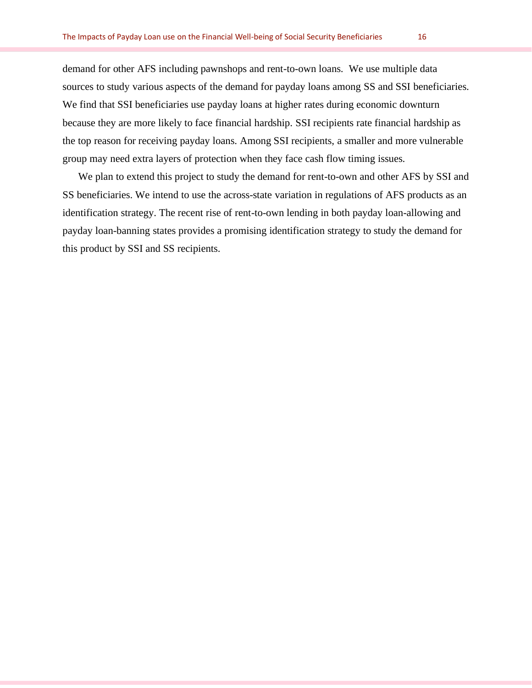demand for other AFS including pawnshops and rent-to-own loans. We use multiple data sources to study various aspects of the demand for payday loans among SS and SSI beneficiaries. We find that SSI beneficiaries use payday loans at higher rates during economic downturn because they are more likely to face financial hardship. SSI recipients rate financial hardship as the top reason for receiving payday loans. Among SSI recipients, a smaller and more vulnerable group may need extra layers of protection when they face cash flow timing issues.

We plan to extend this project to study the demand for rent-to-own and other AFS by SSI and SS beneficiaries. We intend to use the across-state variation in regulations of AFS products as an identification strategy. The recent rise of rent-to-own lending in both payday loan-allowing and payday loan-banning states provides a promising identification strategy to study the demand for this product by SSI and SS recipients.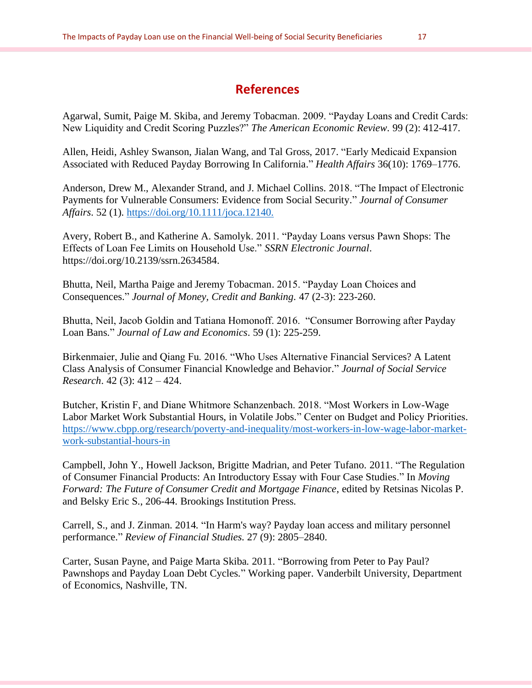## **References**

Agarwal, Sumit, Paige M. Skiba, and Jeremy Tobacman. 2009. "Payday Loans and Credit Cards: New Liquidity and Credit Scoring Puzzles?" *The American Economic Review*. 99 (2): 412-417.

Allen, Heidi, Ashley Swanson, Jialan Wang, and Tal Gross, 2017. "Early Medicaid Expansion Associated with Reduced Payday Borrowing In California." *Health Affairs* 36(10): 1769–1776.

Anderson, Drew M., Alexander Strand, and J. Michael Collins. 2018. "The Impact of Electronic Payments for Vulnerable Consumers: Evidence from Social Security." *Journal of Consumer Affairs*. 52 (1). [https://doi.org/10.1111/joca.12140.](https://doi.org/10.1111/joca.12140)

Avery, Robert B., and Katherine A. Samolyk. 2011. "Payday Loans versus Pawn Shops: The Effects of Loan Fee Limits on Household Use." *SSRN Electronic Journal*. https://doi.org/10.2139/ssrn.2634584.

Bhutta, Neil, Martha Paige and Jeremy Tobacman. 2015. "Payday Loan Choices and Consequences." *Journal of Money, Credit and Banking.* 47 (2-3): 223-260.

Bhutta, Neil, Jacob Goldin and Tatiana Homonoff. 2016. "Consumer Borrowing after Payday Loan Bans." *Journal of Law and Economics*. 59 (1): 225-259.

Birkenmaier, Julie and Qiang Fu. 2016. "Who Uses Alternative Financial Services? A Latent Class Analysis of Consumer Financial Knowledge and Behavior." *Journal of Social Service Research*. 42 (3): 412 – 424.

Butcher, Kristin F, and Diane Whitmore Schanzenbach. 2018. "Most Workers in Low-Wage Labor Market Work Substantial Hours, in Volatile Jobs." Center on Budget and Policy Priorities. [https://www.cbpp.org/research/poverty-and-inequality/most-workers-in-low-wage-labor-market](https://www.cbpp.org/research/poverty-and-inequality/most-workers-in-low-wage-labor-market-work-substantial-hours-in)[work-substantial-hours-in](https://www.cbpp.org/research/poverty-and-inequality/most-workers-in-low-wage-labor-market-work-substantial-hours-in)

Campbell, John Y., Howell Jackson, Brigitte Madrian, and Peter Tufano. 2011. "The Regulation of Consumer Financial Products: An Introductory Essay with Four Case Studies." In *Moving Forward: The Future of Consumer Credit and Mortgage Finance*, edited by Retsinas Nicolas P. and Belsky Eric S., 206-44. Brookings Institution Press.

Carrell, S., and J. Zinman. 2014. "In Harm's way? Payday loan access and military personnel performance." *Review of Financial Studies.* 27 (9): 2805–2840.

Carter, Susan Payne, and Paige Marta Skiba. 2011. "Borrowing from Peter to Pay Paul? Pawnshops and Payday Loan Debt Cycles." Working paper. Vanderbilt University, Department of Economics, Nashville, TN.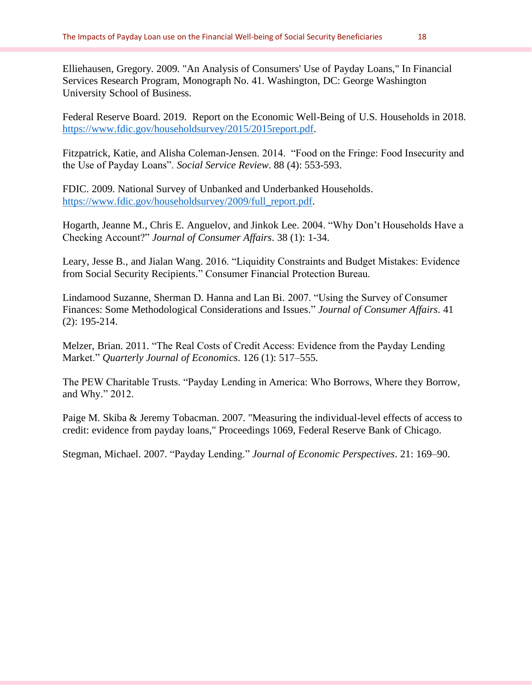Elliehausen, Gregory. 2009. "An Analysis of Consumers' Use of Payday Loans," In Financial Services Research Program, Monograph No. 41. Washington, DC: George Washington University School of Business.

Federal Reserve Board. 2019. Report on the Economic Well-Being of U.S. Households in 2018. [https://www.fdic.gov/householdsurvey/2015/2015report.pdf.](https://www.fdic.gov/householdsurvey/2015/2015report.pdf)

Fitzpatrick, Katie, and Alisha Coleman-Jensen. 2014. "Food on the Fringe: Food Insecurity and the Use of Payday Loans". *Social Service Review*. 88 (4): 553-593.

FDIC. 2009. National Survey of Unbanked and Underbanked Households. [https://www.fdic.gov/householdsurvey/2009/full\\_report.pdf.](https://www.fdic.gov/householdsurvey/2009/full_report.pdf)

Hogarth, Jeanne M., Chris E. Anguelov, and Jinkok Lee. 2004. "Why Don't Households Have a Checking Account?" *Journal of Consumer Affairs*. 38 (1): 1-34.

Leary, Jesse B., and Jialan Wang. 2016. "Liquidity Constraints and Budget Mistakes: Evidence from Social Security Recipients." Consumer Financial Protection Bureau.

Lindamood Suzanne, Sherman D. Hanna and Lan Bi. 2007. "Using the Survey of Consumer Finances: Some Methodological Considerations and Issues." *Journal of Consumer Affairs*. 41 (2): 195-214.

Melzer, Brian. 2011. "The Real Costs of Credit Access: Evidence from the Payday Lending Market." *Quarterly Journal of Economics*. 126 (1): 517–555.

The PEW Charitable Trusts. "Payday Lending in America: Who Borrows, Where they Borrow, and Why." 2012.

Paige M. Skiba & Jeremy Tobacman. 2007. ["Measuring the individual-level effects of access to](https://ideas.repec.org/p/fip/fedhpr/1069.html)  [credit: evidence from payday loans,](https://ideas.repec.org/p/fip/fedhpr/1069.html)" [Proceedings](https://ideas.repec.org/s/fip/fedhpr.html) 1069, Federal Reserve Bank of Chicago.

Stegman, Michael. 2007. "Payday Lending." *Journal of Economic Perspectives*. 21: 169–90.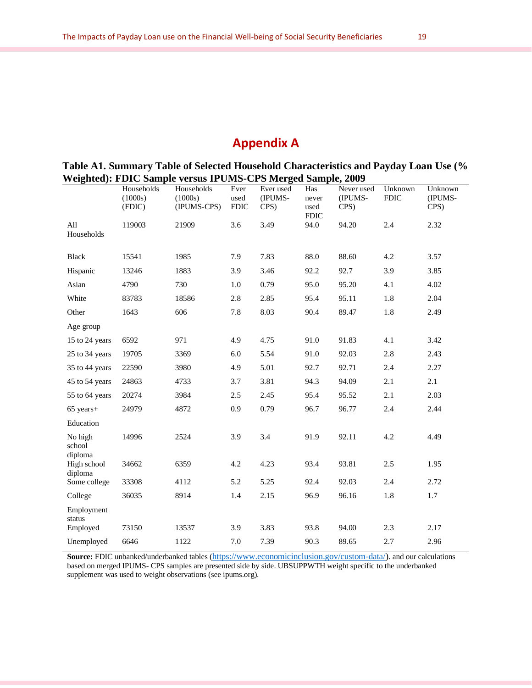## **Appendix A**

**Table A1. Summary Table of Selected Household Characteristics and Payday Loan Use (% Weighted): FDIC Sample versus IPUMS-CPS Merged Sample, 2009**

|                              | Households<br>(1000s)<br>(FDIC) | Households<br>(1000s)<br>(IPUMS-CPS) | Ever<br>used<br><b>FDIC</b> | Ever used<br>(IPUMS-<br>CPS) | Has<br>never<br>used | Never used<br>(IPUMS-<br>CPS) | Unknown<br><b>FDIC</b> | Unknown<br>(IPUMS-<br>CPS) |
|------------------------------|---------------------------------|--------------------------------------|-----------------------------|------------------------------|----------------------|-------------------------------|------------------------|----------------------------|
| All<br>Households            | 119003                          | 21909                                | 3.6                         | 3.49                         | <b>FDIC</b><br>94.0  | 94.20                         | 2.4                    | 2.32                       |
| <b>Black</b>                 | 15541                           | 1985                                 | 7.9                         | 7.83                         | 88.0                 | 88.60                         | 4.2                    | 3.57                       |
| Hispanic                     | 13246                           | 1883                                 | 3.9                         | 3.46                         | 92.2                 | 92.7                          | 3.9                    | 3.85                       |
| Asian                        | 4790                            | 730                                  | 1.0                         | 0.79                         | 95.0                 | 95.20                         | 4.1                    | 4.02                       |
| White                        | 83783                           | 18586                                | 2.8                         | 2.85                         | 95.4                 | 95.11                         | 1.8                    | 2.04                       |
| Other                        | 1643                            | 606                                  | 7.8                         | 8.03                         | 90.4                 | 89.47                         | 1.8                    | 2.49                       |
| Age group                    |                                 |                                      |                             |                              |                      |                               |                        |                            |
| 15 to 24 years               | 6592                            | 971                                  | 4.9                         | 4.75                         | 91.0                 | 91.83                         | 4.1                    | 3.42                       |
| 25 to 34 years               | 19705                           | 3369                                 | 6.0                         | 5.54                         | 91.0                 | 92.03                         | 2.8                    | 2.43                       |
| 35 to 44 years               | 22590                           | 3980                                 | 4.9                         | 5.01                         | 92.7                 | 92.71                         | 2.4                    | 2.27                       |
| 45 to 54 years               | 24863                           | 4733                                 | 3.7                         | 3.81                         | 94.3                 | 94.09                         | 2.1                    | 2.1                        |
| 55 to 64 years               | 20274                           | 3984                                 | 2.5                         | 2.45                         | 95.4                 | 95.52                         | 2.1                    | 2.03                       |
| $65$ years+                  | 24979                           | 4872                                 | 0.9                         | 0.79                         | 96.7                 | 96.77                         | 2.4                    | 2.44                       |
| Education                    |                                 |                                      |                             |                              |                      |                               |                        |                            |
| No high<br>school<br>diploma | 14996                           | 2524                                 | 3.9                         | 3.4                          | 91.9                 | 92.11                         | 4.2                    | 4.49                       |
| High school<br>diploma       | 34662                           | 6359                                 | 4.2                         | 4.23                         | 93.4                 | 93.81                         | 2.5                    | 1.95                       |
| Some college                 | 33308                           | 4112                                 | 5.2                         | 5.25                         | 92.4                 | 92.03                         | 2.4                    | 2.72                       |
| College                      | 36035                           | 8914                                 | 1.4                         | 2.15                         | 96.9                 | 96.16                         | 1.8                    | 1.7                        |
| Employment<br>status         |                                 |                                      |                             |                              |                      |                               |                        |                            |
| Employed                     | 73150                           | 13537                                | 3.9                         | 3.83                         | 93.8                 | 94.00                         | 2.3                    | 2.17                       |
| Unemployed                   | 6646                            | 1122                                 | 7.0                         | 7.39                         | 90.3                 | 89.65                         | 2.7                    | 2.96                       |

**Source:** FDIC unbanked/underbanked tables ([https://www.economicinclusion.gov/custom-data/\)](https://www.economicinclusion.gov/custom-data/). and our calculations based on merged IPUMS- CPS samples are presented side by side. UBSUPPWTH weight specific to the underbanked supplement was used to weight observations (see ipums.org).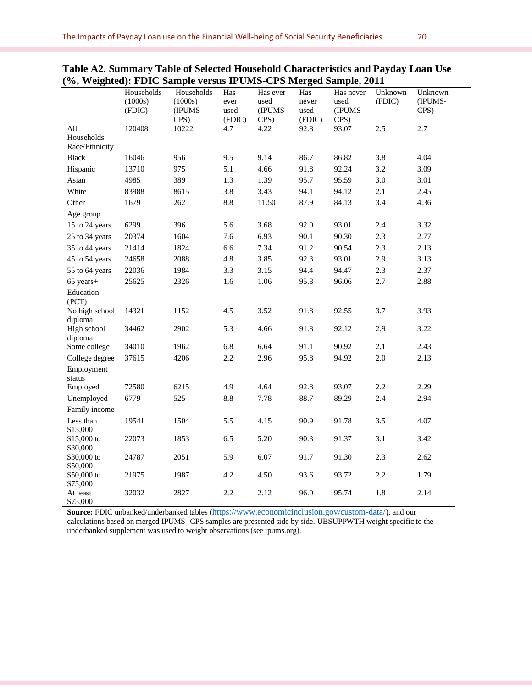|                                     |                                 |                                          |                               |                                     | 0                              |                                      |                   |                            |
|-------------------------------------|---------------------------------|------------------------------------------|-------------------------------|-------------------------------------|--------------------------------|--------------------------------------|-------------------|----------------------------|
|                                     | Households<br>(1000s)<br>(FDIC) | Households<br>(1000s)<br>(IPUMS-<br>CPS) | Has<br>ever<br>used<br>(FDIC) | Has ever<br>used<br>(IPUMS-<br>CPS) | Has<br>never<br>used<br>(FDIC) | Has never<br>used<br>(IPUMS-<br>CPS) | Unknown<br>(FDIC) | Unknown<br>(IPUMS-<br>CPS) |
| All<br>Households<br>Race/Ethnicity | 120408                          | 10222                                    | 4.7                           | 4.22                                | 92.8                           | 93.07                                | 2.5               | 2.7                        |
| <b>Black</b>                        | 16046                           | 956                                      | 9.5                           | 9.14                                | 86.7                           | 86.82                                | 3.8               | 4.04                       |
| Hispanic                            | 13710                           | 975                                      | 5.1                           | 4.66                                | 91.8                           | 92.24                                | 3.2               | 3.09                       |
| Asian                               | 4985                            | 389                                      | 1.3                           | 1.39                                | 95.7                           | 95.59                                | 3.0               | 3.01                       |
| White                               | 83988                           | 8615                                     | 3.8                           | 3.43                                | 94.1                           | 94.12                                | 2.1               | 2.45                       |
| Other                               | 1679                            | 262                                      | 8.8                           | 11.50                               | 87.9                           | 84.13                                | 3.4               | 4.36                       |
| Age group                           |                                 |                                          |                               |                                     |                                |                                      |                   |                            |
| 15 to 24 years                      | 6299                            | 396                                      | 5.6                           | 3.68                                | 92.0                           | 93.01                                | 2.4               | 3.32                       |
| 25 to 34 years                      | 20374                           | 1604                                     | 7.6                           | 6.93                                | 90.1                           | 90.30                                | 2.3               | 2.77                       |
| 35 to 44 years                      | 21414                           | 1824                                     | 6.6                           | 7.34                                | 91.2                           | 90.54                                | 2.3               | 2.13                       |
| 45 to 54 years                      | 24658                           | 2088                                     | 4.8                           | 3.85                                | 92.3                           | 93.01                                | 2.9               | 3.13                       |
| 55 to 64 years                      | 22036                           | 1984                                     | 3.3                           | 3.15                                | 94.4                           | 94.47                                | 2.3               | 2.37                       |
| $65$ years+                         | 25625                           | 2326                                     | 1.6                           | 1.06                                | 95.8                           | 96.06                                | 2.7               | 2.88                       |
| Education<br>(PCT)                  |                                 |                                          |                               |                                     |                                |                                      |                   |                            |
| No high school<br>diploma           | 14321                           | 1152                                     | 4.5                           | 3.52                                | 91.8                           | 92.55                                | 3.7               | 3.93                       |
| High school<br>diploma              | 34462                           | 2902                                     | 5.3                           | 4.66                                | 91.8                           | 92.12                                | 2.9               | 3.22                       |
| Some college                        | 34010                           | 1962                                     | 6.8                           | 6.64                                | 91.1                           | 90.92                                | 2.1               | 2.43                       |
| College degree                      | 37615                           | 4206                                     | 2.2                           | 2.96                                | 95.8                           | 94.92                                | 2.0               | 2.13                       |
| Employment<br>status                |                                 |                                          |                               |                                     |                                |                                      |                   |                            |
| Employed                            | 72580                           | 6215                                     | 4.9                           | 4.64                                | 92.8                           | 93.07                                | 2.2               | 2.29                       |
| Unemployed                          | 6779                            | 525                                      | 8.8                           | 7.78                                | 88.7                           | 89.29                                | 2.4               | 2.94                       |
| Family income                       |                                 |                                          |                               |                                     |                                |                                      |                   |                            |
| Less than<br>\$15,000               | 19541                           | 1504                                     | 5.5                           | 4.15                                | 90.9                           | 91.78                                | 3.5               | 4.07                       |
| \$15,000 to<br>\$30,000             | 22073                           | 1853                                     | 6.5                           | 5.20                                | 90.3                           | 91.37                                | 3.1               | 3.42                       |
| \$30,000 to<br>\$50,000             | 24787                           | 2051                                     | 5.9                           | 6.07                                | 91.7                           | 91.30                                | 2.3               | 2.62                       |
| \$50,000 to<br>\$75,000             | 21975                           | 1987                                     | 4.2                           | 4.50                                | 93.6                           | 93.72                                | 2.2               | 1.79                       |
| At least<br>\$75,000                | 32032                           | 2827                                     | 2.2                           | 2.12                                | 96.0                           | 95.74                                | 1.8               | 2.14                       |

| Table A2. Summary Table of Selected Household Characteristics and Payday Loan Use |  |  |
|-----------------------------------------------------------------------------------|--|--|
| (%, Weighted): FDIC Sample versus IPUMS-CPS Merged Sample, 2011                   |  |  |

**Source:** FDIC unbanked/underbanked tables ([https://www.economicinclusion.gov/custom-data/\)](https://www.economicinclusion.gov/custom-data/). and our calculations based on merged IPUMS- CPS samples are presented side by side. UBSUPPWTH weight specific to the underbanked supplement was used to weight observations (see ipums.org).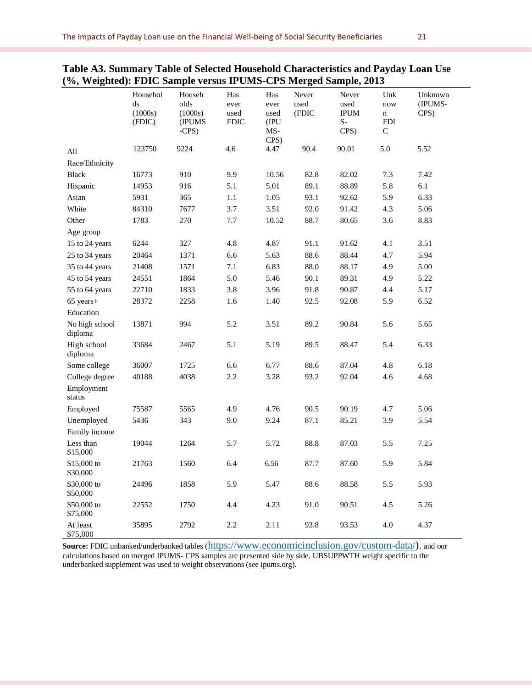|                           | Househol<br>ds<br>(1000s)<br>(FDIC) | Househ<br>olds<br>(1000s)<br>(IPUMS<br>$-CPS$ ) | Has<br>ever<br>used<br><b>FDIC</b> | Has<br>ever<br>used<br>(IPU<br>MS-<br>CPS) | Never<br>used<br>(FDIC | Never<br>used<br><b>IPUM</b><br>$S-$<br>CPS) | Unk<br>now<br>$\bf n$<br><b>FDI</b><br>$\mathsf{C}$ | Unknown<br>(IPUMS-<br>CPS) |
|---------------------------|-------------------------------------|-------------------------------------------------|------------------------------------|--------------------------------------------|------------------------|----------------------------------------------|-----------------------------------------------------|----------------------------|
| All                       | 123750                              | 9224                                            | 4.6                                | 4.47                                       | 90.4                   | 90.01                                        | 5.0                                                 | 5.52                       |
| Race/Ethnicity            |                                     |                                                 |                                    |                                            |                        |                                              |                                                     |                            |
| <b>Black</b>              | 16773                               | 910                                             | 9.9                                | 10.56                                      | 82.8                   | 82.02                                        | 7.3                                                 | 7.42                       |
| Hispanic                  | 14953                               | 916                                             | 5.1                                | 5.01                                       | 89.1                   | 88.89                                        | 5.8                                                 | 6.1                        |
| Asian                     | 5931                                | 365                                             | 1.1                                | 1.05                                       | 93.1                   | 92.62                                        | 5.9                                                 | 6.33                       |
| White                     | 84310                               | 7677                                            | 3.7                                | 3.51                                       | 92.0                   | 91.42                                        | 4.3                                                 | 5.06                       |
| Other                     | 1783                                | 270                                             | 7.7                                | 10.52                                      | 88.7                   | 80.65                                        | 3.6                                                 | 8.83                       |
| Age group                 |                                     |                                                 |                                    |                                            |                        |                                              |                                                     |                            |
| 15 to 24 years            | 6244                                | 327                                             | 4.8                                | 4.87                                       | 91.1                   | 91.62                                        | 4.1                                                 | 3.51                       |
| 25 to 34 years            | 20464                               | 1371                                            | 6.6                                | 5.63                                       | 88.6                   | 88.44                                        | 4.7                                                 | 5.94                       |
| 35 to 44 years            | 21408                               | 1571                                            | 7.1                                | 6.83                                       | 88.0                   | 88.17                                        | 4.9                                                 | 5.00                       |
| 45 to 54 years            | 24551                               | 1864                                            | 5.0                                | 5.46                                       | 90.1                   | 89.31                                        | 4.9                                                 | 5.22                       |
| 55 to 64 years            | 22710                               | 1833                                            | 3.8                                | 3.96                                       | 91.8                   | 90.87                                        | 4.4                                                 | 5.17                       |
| 65 years+                 | 28372                               | 2258                                            | 1.6                                | 1.40                                       | 92.5                   | 92.08                                        | 5.9                                                 | 6.52                       |
| Education                 |                                     |                                                 |                                    |                                            |                        |                                              |                                                     |                            |
| No high school<br>diploma | 13871                               | 994                                             | 5.2                                | 3.51                                       | 89.2                   | 90.84                                        | 5.6                                                 | 5.65                       |
| High school<br>diploma    | 33684                               | 2467                                            | 5.1                                | 5.19                                       | 89.5                   | 88.47                                        | 5.4                                                 | 6.33                       |
| Some college              | 36007                               | 1725                                            | 6.6                                | 6.77                                       | 88.6                   | 87.04                                        | 4.8                                                 | 6.18                       |
| College degree            | 40188                               | 4038                                            | 2.2                                | 3.28                                       | 93.2                   | 92.04                                        | 4.6                                                 | 4.68                       |
| Employment<br>status      |                                     |                                                 |                                    |                                            |                        |                                              |                                                     |                            |
| Employed                  | 75587                               | 5565                                            | 4.9                                | 4.76                                       | 90.5                   | 90.19                                        | 4.7                                                 | 5.06                       |
| Unemployed                | 5436                                | 343                                             | 9.0                                | 9.24                                       | 87.1                   | 85.21                                        | 3.9                                                 | 5.54                       |
| Family income             |                                     |                                                 |                                    |                                            |                        |                                              |                                                     |                            |
| Less than<br>\$15,000     | 19044                               | 1264                                            | 5.7                                | 5.72                                       | 88.8                   | 87.03                                        | 5.5                                                 | 7.25                       |
| \$15,000 to<br>\$30,000   | 21763                               | 1560                                            | 6.4                                | 6.56                                       | 87.7                   | 87.60                                        | 5.9                                                 | 5.84                       |
| \$30,000 to<br>\$50,000   | 24496                               | 1858                                            | 5.9                                | 5.47                                       | 88.6                   | 88.58                                        | 5.5                                                 | 5.93                       |
| \$50,000 to<br>\$75,000   | 22552                               | 1750                                            | 4.4                                | 4.23                                       | 91.0                   | 90.51                                        | 4.5                                                 | 5.26                       |
| At least<br>\$75,000      | 35895                               | 2792                                            | 2.2                                | 2.11                                       | 93.8                   | 93.53                                        | 4.0                                                 | 4.37                       |

### **Table A3. Summary Table of Selected Household Characteristics and Payday Loan Use (%, Weighted): FDIC Sample versus IPUMS-CPS Merged Sample, 2013**

Source: FDIC unbanked/underbanked tables ([https://www.economicinclusion.gov/custom-data/\)](https://www.economicinclusion.gov/custom-data/). and our calculations based on merged IPUMS- CPS samples are presented side by side. UBSUPPWTH weight specific to the underbanked supplement was used to weight observations (see ipums.org).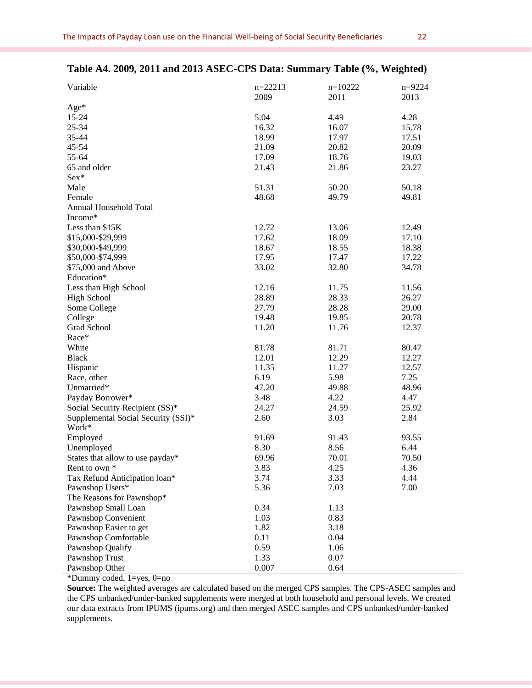| Variable                            | $n=22213$<br>2009 | $n=10222$<br>2011 | $n=9224$<br>2013 |
|-------------------------------------|-------------------|-------------------|------------------|
| Age*                                |                   |                   |                  |
| $15 - 24$                           | 5.04              | 4.49              | 4.28             |
| 25-34                               | 16.32             | 16.07             | 15.78            |
| 35-44                               | 18.99             | 17.97             | 17.51            |
| 45-54                               | 21.09             | 20.82             | 20.09            |
| 55-64                               | 17.09             | 18.76             | 19.03            |
| 65 and older                        | 21.43             | 21.86             | 23.27            |
| Sex*                                |                   |                   |                  |
| Male                                | 51.31             | 50.20             | 50.18            |
| Female                              | 48.68             | 49.79             | 49.81            |
| Annual Household Total              |                   |                   |                  |
| Income*                             |                   |                   |                  |
| Less than \$15K                     | 12.72             | 13.06             | 12.49            |
| \$15,000-\$29,999                   | 17.62             | 18.09             | 17.10            |
| \$30,000-\$49,999                   | 18.67             | 18.55             | 18.38            |
| \$50,000-\$74,999                   |                   |                   |                  |
|                                     | 17.95             | 17.47             | 17.22            |
| \$75,000 and Above                  | 33.02             | 32.80             | 34.78            |
| Education*                          |                   |                   |                  |
| Less than High School               | 12.16             | 11.75             | 11.56            |
| <b>High School</b>                  | 28.89             | 28.33             | 26.27            |
| Some College                        | 27.79             | 28.28             | 29.00            |
| College                             | 19.48             | 19.85             | 20.78            |
| Grad School                         | 11.20             | 11.76             | 12.37            |
| Race*                               |                   |                   |                  |
| White                               | 81.78             | 81.71             | 80.47            |
| <b>Black</b>                        | 12.01             | 12.29             | 12.27            |
| Hispanic                            | 11.35             | 11.27             | 12.57            |
| Race, other                         | 6.19              | 5.98              | 7.25             |
| Unmarried*                          | 47.20             | 49.88             | 48.96            |
| Payday Borrower*                    | 3.48              | 4.22              | 4.47             |
| Social Security Recipient (SS)*     | 24.27             | 24.59             | 25.92            |
| Supplemental Social Security (SSI)* | 2.60              | 3.03              | 2.84             |
| Work*                               |                   |                   |                  |
| Employed                            | 91.69             | 91.43             | 93.55            |
| Unemployed                          | 8.30              | 8.56              | 6.44             |
| States that allow to use payday*    | 69.96             | 70.01             | 70.50            |
| Rent to own *                       | 3.83              | 4.25              | 4.36             |
| Tax Refund Anticipation loan*       | 3.74              | 3.33              | 4.44             |
| Pawnshop Users*                     | 5.36              | 7.03              | 7.00             |
| The Reasons for Pawnshop*           |                   |                   |                  |
| Pawnshop Small Loan                 | 0.34              | 1.13              |                  |
| Pawnshop Convenient                 | 1.03              | 0.83              |                  |
| Pawnshop Easier to get              | 1.82              | 3.18              |                  |
| Pawnshop Comfortable                | 0.11              | 0.04              |                  |
| Pawnshop Qualify                    | 0.59              | 1.06              |                  |
|                                     |                   |                   |                  |
| Pawnshop Trust                      | 1.33              | 0.07              |                  |
| Pawnshop Other                      | 0.007             | 0.64              |                  |

#### **Table A4. 2009, 2011 and 2013 ASEC-CPS Data: Summary Table (%, Weighted)**

\*Dummy coded, 1=yes, 0=no

**Source:** The weighted averages are calculated based on the merged CPS samples. The CPS-ASEC samples and the CPS unbanked/under-banked supplements were merged at both household and personal levels. We created our data extracts from IPUMS (ipums.org) and then merged ASEC samples and CPS unbanked/under-banked supplements.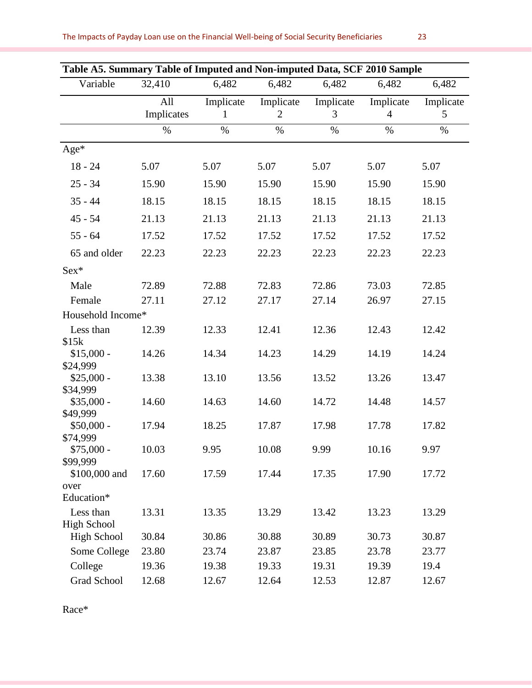| Variable<br>32,410<br>6,482<br>6,482<br>6,482<br>6,482<br>6,482<br>Implicate<br>Implicate<br>Implicate<br>All<br>Implicate<br>Implicate<br>Implicates<br>$\mathfrak{2}$<br>3<br>4<br>5<br>1<br>$\%$<br>$\%$<br>$\%$<br>$\%$<br>$\%$<br>$\%$<br>$Age*$<br>5.07<br>5.07<br>$18 - 24$<br>5.07<br>5.07<br>5.07<br>5.07<br>$25 - 34$<br>15.90<br>15.90<br>15.90<br>15.90<br>15.90<br>15.90<br>$35 - 44$<br>18.15<br>18.15<br>18.15<br>18.15<br>18.15<br>18.15<br>21.13<br>21.13<br>21.13<br>21.13<br>$45 - 54$<br>21.13<br>21.13<br>$55 - 64$<br>17.52<br>17.52<br>17.52<br>17.52<br>17.52<br>17.52<br>65 and older<br>22.23<br>22.23<br>22.23<br>22.23<br>22.23<br>22.23<br>$Sex*$ |      | Table A5. Summary Table of Imputed and Non-imputed Data, SCF 2010 Sample |       |       |       |       |       |  |  |
|--------------------------------------------------------------------------------------------------------------------------------------------------------------------------------------------------------------------------------------------------------------------------------------------------------------------------------------------------------------------------------------------------------------------------------------------------------------------------------------------------------------------------------------------------------------------------------------------------------------------------------------------------------------------------------|------|--------------------------------------------------------------------------|-------|-------|-------|-------|-------|--|--|
|                                                                                                                                                                                                                                                                                                                                                                                                                                                                                                                                                                                                                                                                                |      |                                                                          |       |       |       |       |       |  |  |
|                                                                                                                                                                                                                                                                                                                                                                                                                                                                                                                                                                                                                                                                                |      |                                                                          |       |       |       |       |       |  |  |
|                                                                                                                                                                                                                                                                                                                                                                                                                                                                                                                                                                                                                                                                                |      |                                                                          |       |       |       |       |       |  |  |
|                                                                                                                                                                                                                                                                                                                                                                                                                                                                                                                                                                                                                                                                                |      |                                                                          |       |       |       |       |       |  |  |
|                                                                                                                                                                                                                                                                                                                                                                                                                                                                                                                                                                                                                                                                                |      |                                                                          |       |       |       |       |       |  |  |
|                                                                                                                                                                                                                                                                                                                                                                                                                                                                                                                                                                                                                                                                                |      |                                                                          |       |       |       |       |       |  |  |
|                                                                                                                                                                                                                                                                                                                                                                                                                                                                                                                                                                                                                                                                                |      |                                                                          |       |       |       |       |       |  |  |
|                                                                                                                                                                                                                                                                                                                                                                                                                                                                                                                                                                                                                                                                                |      |                                                                          |       |       |       |       |       |  |  |
|                                                                                                                                                                                                                                                                                                                                                                                                                                                                                                                                                                                                                                                                                |      |                                                                          |       |       |       |       |       |  |  |
|                                                                                                                                                                                                                                                                                                                                                                                                                                                                                                                                                                                                                                                                                |      |                                                                          |       |       |       |       |       |  |  |
|                                                                                                                                                                                                                                                                                                                                                                                                                                                                                                                                                                                                                                                                                |      |                                                                          |       |       |       |       |       |  |  |
|                                                                                                                                                                                                                                                                                                                                                                                                                                                                                                                                                                                                                                                                                |      |                                                                          |       |       |       |       |       |  |  |
|                                                                                                                                                                                                                                                                                                                                                                                                                                                                                                                                                                                                                                                                                | Male | 72.89                                                                    | 72.88 | 72.83 | 72.86 | 73.03 | 72.85 |  |  |
| Female<br>27.11<br>27.12<br>27.17<br>27.14<br>26.97<br>27.15                                                                                                                                                                                                                                                                                                                                                                                                                                                                                                                                                                                                                   |      |                                                                          |       |       |       |       |       |  |  |
| Household Income*                                                                                                                                                                                                                                                                                                                                                                                                                                                                                                                                                                                                                                                              |      |                                                                          |       |       |       |       |       |  |  |
| Less than<br>12.33<br>12.41<br>12.36<br>12.43<br>12.42<br>12.39                                                                                                                                                                                                                                                                                                                                                                                                                                                                                                                                                                                                                |      |                                                                          |       |       |       |       |       |  |  |
| \$15k<br>14.26<br>14.34<br>14.19<br>14.24<br>$$15,000 -$<br>14.23<br>14.29                                                                                                                                                                                                                                                                                                                                                                                                                                                                                                                                                                                                     |      |                                                                          |       |       |       |       |       |  |  |
| \$24,999                                                                                                                                                                                                                                                                                                                                                                                                                                                                                                                                                                                                                                                                       |      |                                                                          |       |       |       |       |       |  |  |
| 13.10<br>$$25,000 -$<br>13.38<br>13.56<br>13.52<br>13.26<br>13.47                                                                                                                                                                                                                                                                                                                                                                                                                                                                                                                                                                                                              |      |                                                                          |       |       |       |       |       |  |  |
| \$34,999<br>$$35,000 -$                                                                                                                                                                                                                                                                                                                                                                                                                                                                                                                                                                                                                                                        |      |                                                                          |       |       |       |       |       |  |  |
| 14.60<br>14.63<br>14.60<br>14.72<br>14.48<br>14.57<br>\$49,999                                                                                                                                                                                                                                                                                                                                                                                                                                                                                                                                                                                                                 |      |                                                                          |       |       |       |       |       |  |  |
| $$50,000 -$<br>18.25<br>17.87<br>17.94<br>17.98<br>17.78<br>17.82                                                                                                                                                                                                                                                                                                                                                                                                                                                                                                                                                                                                              |      |                                                                          |       |       |       |       |       |  |  |
| \$74,999                                                                                                                                                                                                                                                                                                                                                                                                                                                                                                                                                                                                                                                                       |      |                                                                          |       |       |       |       |       |  |  |
| 9.95<br>9.99<br>9.97<br>$$75,000 -$<br>10.03<br>10.08<br>10.16<br>\$99,999                                                                                                                                                                                                                                                                                                                                                                                                                                                                                                                                                                                                     |      |                                                                          |       |       |       |       |       |  |  |
| \$100,000 and<br>17.60<br>17.59<br>17.44<br>17.35<br>17.90<br>17.72                                                                                                                                                                                                                                                                                                                                                                                                                                                                                                                                                                                                            |      |                                                                          |       |       |       |       |       |  |  |
| over                                                                                                                                                                                                                                                                                                                                                                                                                                                                                                                                                                                                                                                                           |      |                                                                          |       |       |       |       |       |  |  |
| Education*                                                                                                                                                                                                                                                                                                                                                                                                                                                                                                                                                                                                                                                                     |      |                                                                          |       |       |       |       |       |  |  |
| Less than<br>13.31<br>13.35<br>13.29<br>13.42<br>13.23<br>13.29                                                                                                                                                                                                                                                                                                                                                                                                                                                                                                                                                                                                                |      |                                                                          |       |       |       |       |       |  |  |
| <b>High School</b><br><b>High School</b><br>30.84<br>30.86<br>30.88<br>30.89<br>30.73<br>30.87                                                                                                                                                                                                                                                                                                                                                                                                                                                                                                                                                                                 |      |                                                                          |       |       |       |       |       |  |  |
| Some College<br>23.80<br>23.74<br>23.87<br>23.85<br>23.78<br>23.77                                                                                                                                                                                                                                                                                                                                                                                                                                                                                                                                                                                                             |      |                                                                          |       |       |       |       |       |  |  |
| College<br>19.36<br>19.38<br>19.33<br>19.31<br>19.39<br>19.4                                                                                                                                                                                                                                                                                                                                                                                                                                                                                                                                                                                                                   |      |                                                                          |       |       |       |       |       |  |  |
| Grad School<br>12.68<br>12.67<br>12.64<br>12.53<br>12.87<br>12.67                                                                                                                                                                                                                                                                                                                                                                                                                                                                                                                                                                                                              |      |                                                                          |       |       |       |       |       |  |  |

Race\*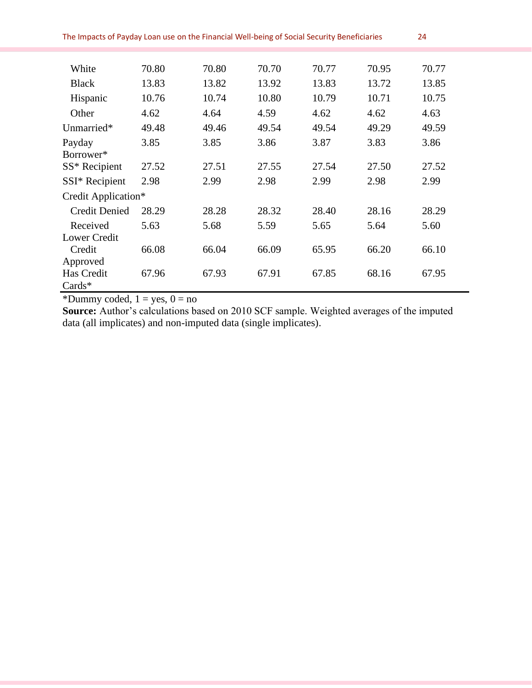| The Impacts of Payday Loan use on the Financial Well-being of Social Security Beneficiaries |       |       |       |       |       |       |  |
|---------------------------------------------------------------------------------------------|-------|-------|-------|-------|-------|-------|--|
|                                                                                             |       |       |       |       |       |       |  |
| White                                                                                       | 70.80 | 70.80 | 70.70 | 70.77 | 70.95 | 70.77 |  |
| <b>Black</b>                                                                                | 13.83 | 13.82 | 13.92 | 13.83 | 13.72 | 13.85 |  |
| Hispanic                                                                                    | 10.76 | 10.74 | 10.80 | 10.79 | 10.71 | 10.75 |  |
| Other                                                                                       | 4.62  | 4.64  | 4.59  | 4.62  | 4.62  | 4.63  |  |
| Unmarried*                                                                                  | 49.48 | 49.46 | 49.54 | 49.54 | 49.29 | 49.59 |  |
| Payday                                                                                      | 3.85  | 3.85  | 3.86  | 3.87  | 3.83  | 3.86  |  |
| Borrower*                                                                                   |       |       |       |       |       |       |  |
| SS* Recipient                                                                               | 27.52 | 27.51 | 27.55 | 27.54 | 27.50 | 27.52 |  |
| SSI* Recipient                                                                              | 2.98  | 2.99  | 2.98  | 2.99  | 2.98  | 2.99  |  |
| Credit Application*                                                                         |       |       |       |       |       |       |  |
| <b>Credit Denied</b>                                                                        | 28.29 | 28.28 | 28.32 | 28.40 | 28.16 | 28.29 |  |
| Received                                                                                    | 5.63  | 5.68  | 5.59  | 5.65  | 5.64  | 5.60  |  |
| <b>Lower Credit</b>                                                                         |       |       |       |       |       |       |  |
| Credit                                                                                      | 66.08 | 66.04 | 66.09 | 65.95 | 66.20 | 66.10 |  |
| Approved                                                                                    |       |       |       |       |       |       |  |
| Has Credit                                                                                  | 67.96 | 67.93 | 67.91 | 67.85 | 68.16 | 67.95 |  |
| $Cards*$                                                                                    |       |       |       |       |       |       |  |

\*Dummy coded,  $1 = yes$ ,  $0 = no$ 

**Source:** Author's calculations based on 2010 SCF sample. Weighted averages of the imputed data (all implicates) and non-imputed data (single implicates).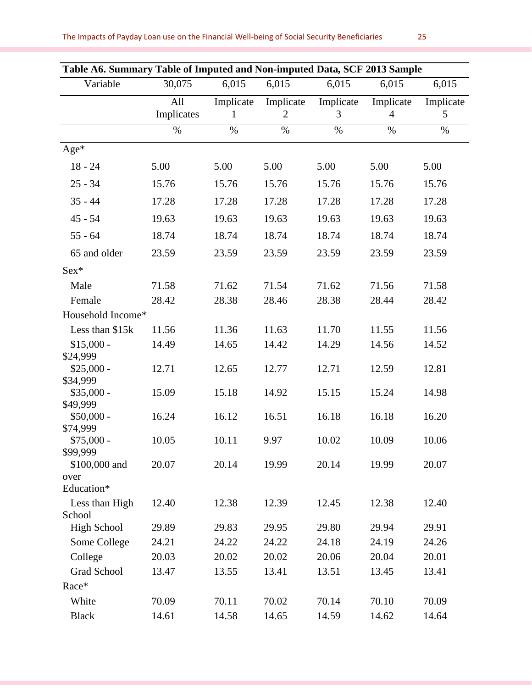| Table A6. Summary Table of Imputed and Non-imputed Data, SCF 2013 Sample |            |           |                |           |           |           |
|--------------------------------------------------------------------------|------------|-----------|----------------|-----------|-----------|-----------|
| Variable                                                                 | 30,075     | 6,015     | 6,015          | 6,015     | 6,015     | 6,015     |
|                                                                          | All        | Implicate | Implicate      | Implicate | Implicate | Implicate |
|                                                                          | Implicates | 1         | $\overline{2}$ | 3         | 4         | 5         |
|                                                                          | $\%$       | $\%$      | $\%$           | $\%$      | $\%$      | $\%$      |
| Age*                                                                     |            |           |                |           |           |           |
| $18 - 24$                                                                | 5.00       | 5.00      | 5.00           | 5.00      | 5.00      | 5.00      |
| $25 - 34$                                                                | 15.76      | 15.76     | 15.76          | 15.76     | 15.76     | 15.76     |
| $35 - 44$                                                                | 17.28      | 17.28     | 17.28          | 17.28     | 17.28     | 17.28     |
| $45 - 54$                                                                | 19.63      | 19.63     | 19.63          | 19.63     | 19.63     | 19.63     |
| $55 - 64$                                                                | 18.74      | 18.74     | 18.74          | 18.74     | 18.74     | 18.74     |
| 65 and older                                                             | 23.59      | 23.59     | 23.59          | 23.59     | 23.59     | 23.59     |
| $Sex*$                                                                   |            |           |                |           |           |           |
| Male                                                                     | 71.58      | 71.62     | 71.54          | 71.62     | 71.56     | 71.58     |
| Female                                                                   | 28.42      | 28.38     | 28.46          | 28.38     | 28.44     | 28.42     |
| Household Income*                                                        |            |           |                |           |           |           |
| Less than \$15k                                                          | 11.56      | 11.36     | 11.63          | 11.70     | 11.55     | 11.56     |
| $$15,000 -$                                                              | 14.49      | 14.65     | 14.42          | 14.29     | 14.56     | 14.52     |
| \$24,999                                                                 |            |           |                |           |           |           |
| $$25,000 -$<br>\$34,999                                                  | 12.71      | 12.65     | 12.77          | 12.71     | 12.59     | 12.81     |
| $$35,000 -$                                                              | 15.09      | 15.18     | 14.92          | 15.15     | 15.24     | 14.98     |
| \$49,999                                                                 |            |           |                |           |           |           |
| $$50,000 -$                                                              | 16.24      | 16.12     | 16.51          | 16.18     | 16.18     | 16.20     |
| \$74,999                                                                 |            |           |                |           |           |           |
| $$75,000 -$<br>\$99,999                                                  | 10.05      | 10.11     | 9.97           | 10.02     | 10.09     | 10.06     |
| \$100,000 and                                                            | 20.07      | 20.14     | 19.99          | 20.14     | 19.99     | 20.07     |
| over                                                                     |            |           |                |           |           |           |
| Education*                                                               |            |           |                |           |           |           |
| Less than High                                                           | 12.40      | 12.38     | 12.39          | 12.45     | 12.38     | 12.40     |
| School<br><b>High School</b>                                             | 29.89      | 29.83     | 29.95          | 29.80     | 29.94     | 29.91     |
| Some College                                                             | 24.21      | 24.22     | 24.22          | 24.18     | 24.19     | 24.26     |
|                                                                          |            |           |                | 20.06     |           |           |
| College<br><b>Grad School</b>                                            | 20.03      | 20.02     | 20.02          |           | 20.04     | 20.01     |
| Race*                                                                    | 13.47      | 13.55     | 13.41          | 13.51     | 13.45     | 13.41     |
|                                                                          |            |           |                |           |           |           |
| White                                                                    | 70.09      | 70.11     | 70.02          | 70.14     | 70.10     | 70.09     |
| <b>Black</b>                                                             | 14.61      | 14.58     | 14.65          | 14.59     | 14.62     | 14.64     |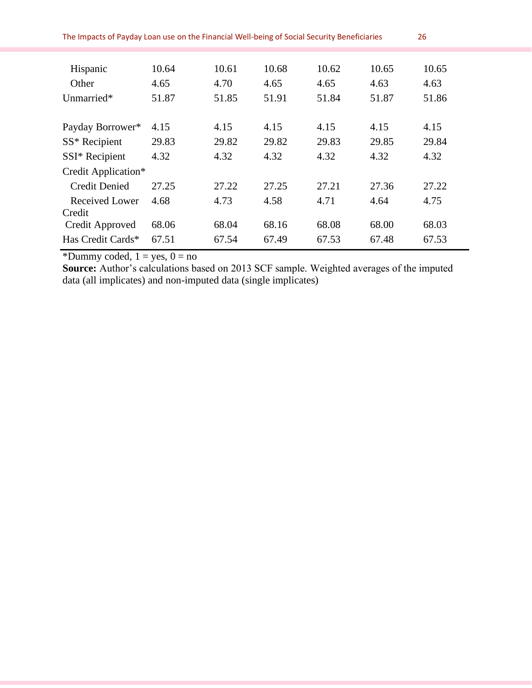| The Impacts of Payday Loan use on the Financial Well-being of Social Security Beneficiaries<br>26 |       |       |       |       |       |       |  |
|---------------------------------------------------------------------------------------------------|-------|-------|-------|-------|-------|-------|--|
|                                                                                                   |       |       |       |       |       |       |  |
| Hispanic                                                                                          | 10.64 | 10.61 | 10.68 | 10.62 | 10.65 | 10.65 |  |
| Other                                                                                             | 4.65  | 4.70  | 4.65  | 4.65  | 4.63  | 4.63  |  |
| Unmarried*                                                                                        | 51.87 | 51.85 | 51.91 | 51.84 | 51.87 | 51.86 |  |
|                                                                                                   |       |       |       |       |       |       |  |
| Payday Borrower*                                                                                  | 4.15  | 4.15  | 4.15  | 4.15  | 4.15  | 4.15  |  |
| SS* Recipient                                                                                     | 29.83 | 29.82 | 29.82 | 29.83 | 29.85 | 29.84 |  |
| SSI* Recipient                                                                                    | 4.32  | 4.32  | 4.32  | 4.32  | 4.32  | 4.32  |  |
| Credit Application*                                                                               |       |       |       |       |       |       |  |
| <b>Credit Denied</b>                                                                              | 27.25 | 27.22 | 27.25 | 27.21 | 27.36 | 27.22 |  |
| Received Lower                                                                                    | 4.68  | 4.73  | 4.58  | 4.71  | 4.64  | 4.75  |  |
| Credit                                                                                            |       |       |       |       |       |       |  |
| Credit Approved                                                                                   | 68.06 | 68.04 | 68.16 | 68.08 | 68.00 | 68.03 |  |
| Has Credit Cards*                                                                                 | 67.51 | 67.54 | 67.49 | 67.53 | 67.48 | 67.53 |  |

\*Dummy coded,  $1 = yes$ ,  $0 = no$ 

**Source:** Author's calculations based on 2013 SCF sample. Weighted averages of the imputed data (all implicates) and non-imputed data (single implicates)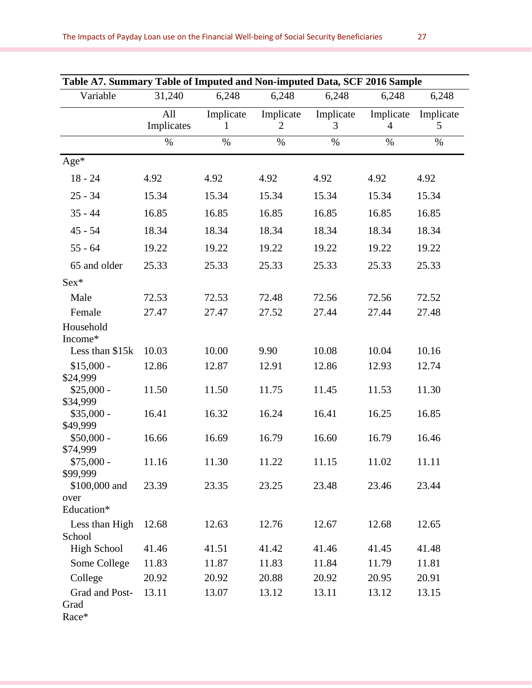| Table A7. Summary Table of Imputed and Non-imputed Data, SCF 2016 Sample |                   |                          |                             |                |                             |                |
|--------------------------------------------------------------------------|-------------------|--------------------------|-----------------------------|----------------|-----------------------------|----------------|
| Variable                                                                 | 31,240            | 6,248                    | 6,248                       | 6,248          | 6,248                       | 6,248          |
|                                                                          | All<br>Implicates | Implicate<br>$\mathbf 1$ | Implicate<br>$\overline{2}$ | Implicate<br>3 | Implicate<br>$\overline{4}$ | Implicate<br>5 |
|                                                                          | $\%$              | $\%$                     | $\%$                        | $\%$           | $\%$                        | $\%$           |
| Age*                                                                     |                   |                          |                             |                |                             |                |
| $18 - 24$                                                                | 4.92              | 4.92                     | 4.92                        | 4.92           | 4.92                        | 4.92           |
| $25 - 34$                                                                | 15.34             | 15.34                    | 15.34                       | 15.34          | 15.34                       | 15.34          |
| $35 - 44$                                                                | 16.85             | 16.85                    | 16.85                       | 16.85          | 16.85                       | 16.85          |
| $45 - 54$                                                                | 18.34             | 18.34                    | 18.34                       | 18.34          | 18.34                       | 18.34          |
| $55 - 64$                                                                | 19.22             | 19.22                    | 19.22                       | 19.22          | 19.22                       | 19.22          |
| 65 and older                                                             | 25.33             | 25.33                    | 25.33                       | 25.33          | 25.33                       | 25.33          |
| Sex*                                                                     |                   |                          |                             |                |                             |                |
| Male                                                                     | 72.53             | 72.53                    | 72.48                       | 72.56          | 72.56                       | 72.52          |
| Female                                                                   | 27.47             | 27.47                    | 27.52                       | 27.44          | 27.44                       | 27.48          |
| Household<br>Income*                                                     |                   |                          |                             |                |                             |                |
| Less than \$15k                                                          | 10.03             | 10.00                    | 9.90                        | 10.08          | 10.04                       | 10.16          |
| $$15,000 -$<br>\$24,999                                                  | 12.86             | 12.87                    | 12.91                       | 12.86          | 12.93                       | 12.74          |
| $$25,000 -$<br>\$34,999                                                  | 11.50             | 11.50                    | 11.75                       | 11.45          | 11.53                       | 11.30          |
| $$35,000 -$<br>\$49,999                                                  | 16.41             | 16.32                    | 16.24                       | 16.41          | 16.25                       | 16.85          |
| $$50,000 -$<br>\$74,999                                                  | 16.66             | 16.69                    | 16.79                       | 16.60          | 16.79                       | 16.46          |
| $$75,000 -$<br>\$99,999                                                  | 11.16             | 11.30                    | 11.22                       | 11.15          | 11.02                       | 11.11          |
| \$100,000 and                                                            | 23.39             | 23.35                    | 23.25                       | 23.48          | 23.46                       | 23.44          |
| over<br>Education*                                                       |                   |                          |                             |                |                             |                |
| Less than High<br>School                                                 | 12.68             | 12.63                    | 12.76                       | 12.67          | 12.68                       | 12.65          |
| <b>High School</b>                                                       | 41.46             | 41.51                    | 41.42                       | 41.46          | 41.45                       | 41.48          |
| Some College                                                             | 11.83             | 11.87                    | 11.83                       | 11.84          | 11.79                       | 11.81          |
| College                                                                  | 20.92             | 20.92                    | 20.88                       | 20.92          | 20.95                       | 20.91          |
| Grad and Post-<br>Grad<br>Race*                                          | 13.11             | 13.07                    | 13.12                       | 13.11          | 13.12                       | 13.15          |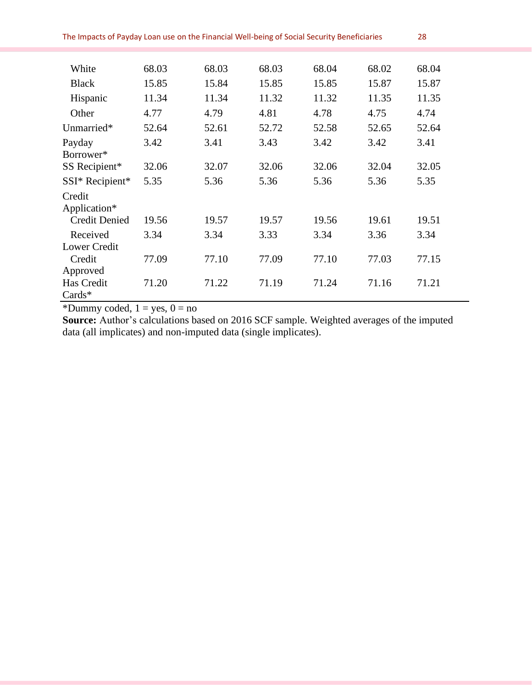| White                  | 68.03 | 68.03 | 68.03 | 68.04 | 68.02 | 68.04 |
|------------------------|-------|-------|-------|-------|-------|-------|
| <b>Black</b>           | 15.85 | 15.84 | 15.85 | 15.85 | 15.87 | 15.87 |
| Hispanic               | 11.34 | 11.34 | 11.32 | 11.32 | 11.35 | 11.35 |
| Other                  | 4.77  | 4.79  | 4.81  | 4.78  | 4.75  | 4.74  |
| Unmarried*             | 52.64 | 52.61 | 52.72 | 52.58 | 52.65 | 52.64 |
| Payday                 | 3.42  | 3.41  | 3.43  | 3.42  | 3.42  | 3.41  |
| Borrower*              |       |       |       |       |       |       |
| SS Recipient*          | 32.06 | 32.07 | 32.06 | 32.06 | 32.04 | 32.05 |
| SSI* Recipient*        | 5.35  | 5.36  | 5.36  | 5.36  | 5.36  | 5.35  |
| Credit<br>Application* |       |       |       |       |       |       |
| <b>Credit Denied</b>   | 19.56 | 19.57 | 19.57 | 19.56 | 19.61 | 19.51 |
| Received               | 3.34  | 3.34  | 3.33  | 3.34  | 3.36  | 3.34  |
| <b>Lower Credit</b>    |       |       |       |       |       |       |
| Credit                 | 77.09 | 77.10 | 77.09 | 77.10 | 77.03 | 77.15 |
| Approved               |       |       |       |       |       |       |
| Has Credit<br>$Cards*$ | 71.20 | 71.22 | 71.19 | 71.24 | 71.16 | 71.21 |
|                        |       |       |       |       |       |       |

\*Dummy coded,  $1 = yes$ ,  $0 = no$ 

**Source:** Author's calculations based on 2016 SCF sample. Weighted averages of the imputed data (all implicates) and non-imputed data (single implicates).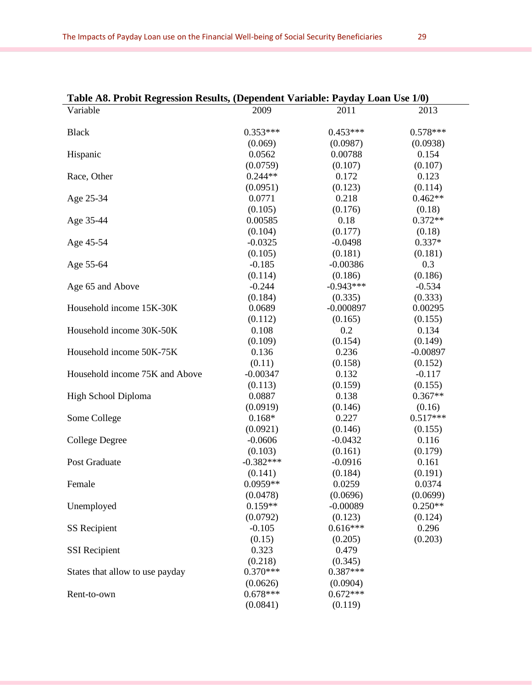| Table A8. Probit Regression Results, (Dependent Variable: Payday Loan Use 1/0) |             |             |            |
|--------------------------------------------------------------------------------|-------------|-------------|------------|
| Variable                                                                       | 2009        | 2011        | 2013       |
| <b>Black</b>                                                                   | $0.353***$  | $0.453***$  | $0.578***$ |
|                                                                                | (0.069)     | (0.0987)    | (0.0938)   |
| Hispanic                                                                       | 0.0562      | 0.00788     | 0.154      |
|                                                                                | (0.0759)    | (0.107)     | (0.107)    |
| Race, Other                                                                    | $0.244**$   | 0.172       | 0.123      |
|                                                                                | (0.0951)    | (0.123)     | (0.114)    |
| Age 25-34                                                                      | 0.0771      | 0.218       | $0.462**$  |
|                                                                                | (0.105)     | (0.176)     | (0.18)     |
| Age 35-44                                                                      | 0.00585     | 0.18        | $0.372**$  |
|                                                                                | (0.104)     | (0.177)     | (0.18)     |
| Age 45-54                                                                      | $-0.0325$   | $-0.0498$   | $0.337*$   |
|                                                                                | (0.105)     | (0.181)     | (0.181)    |
| Age 55-64                                                                      | $-0.185$    | $-0.00386$  | 0.3        |
|                                                                                | (0.114)     | (0.186)     | (0.186)    |
| Age 65 and Above                                                               | $-0.244$    | $-0.943***$ | $-0.534$   |
|                                                                                | (0.184)     | (0.335)     | (0.333)    |
| Household income 15K-30K                                                       | 0.0689      | $-0.000897$ | 0.00295    |
|                                                                                | (0.112)     | (0.165)     | (0.155)    |
| Household income 30K-50K                                                       | 0.108       | 0.2         | 0.134      |
|                                                                                | (0.109)     | (0.154)     | (0.149)    |
| Household income 50K-75K                                                       | 0.136       | 0.236       | $-0.00897$ |
|                                                                                | (0.11)      | (0.158)     | (0.152)    |
| Household income 75K and Above                                                 | $-0.00347$  | 0.132       | $-0.117$   |
|                                                                                | (0.113)     | (0.159)     | (0.155)    |
| High School Diploma                                                            | 0.0887      | 0.138       | $0.367**$  |
|                                                                                | (0.0919)    | (0.146)     | (0.16)     |
| Some College                                                                   | $0.168*$    | 0.227       | $0.517***$ |
|                                                                                | (0.0921)    | (0.146)     | (0.155)    |
| <b>College Degree</b>                                                          | $-0.0606$   | $-0.0432$   | 0.116      |
|                                                                                | (0.103)     | (0.161)     | (0.179)    |
| Post Graduate                                                                  | $-0.382***$ | $-0.0916$   | 0.161      |
|                                                                                | (0.141)     | (0.184)     | (0.191)    |
| Female                                                                         | $0.0959**$  | 0.0259      | 0.0374     |
|                                                                                | (0.0478)    | (0.0696)    | (0.0699)   |
| Unemployed                                                                     | $0.159**$   | $-0.00089$  | $0.250**$  |
|                                                                                | (0.0792)    | (0.123)     | (0.124)    |
| <b>SS</b> Recipient                                                            | $-0.105$    | $0.616***$  | 0.296      |
|                                                                                | (0.15)      | (0.205)     | (0.203)    |
| <b>SSI</b> Recipient                                                           | 0.323       | 0.479       |            |
|                                                                                | (0.218)     | (0.345)     |            |
| States that allow to use payday                                                | $0.370***$  | $0.387***$  |            |
|                                                                                | (0.0626)    | (0.0904)    |            |
| Rent-to-own                                                                    | $0.678***$  | $0.672***$  |            |
|                                                                                | (0.0841)    | (0.119)     |            |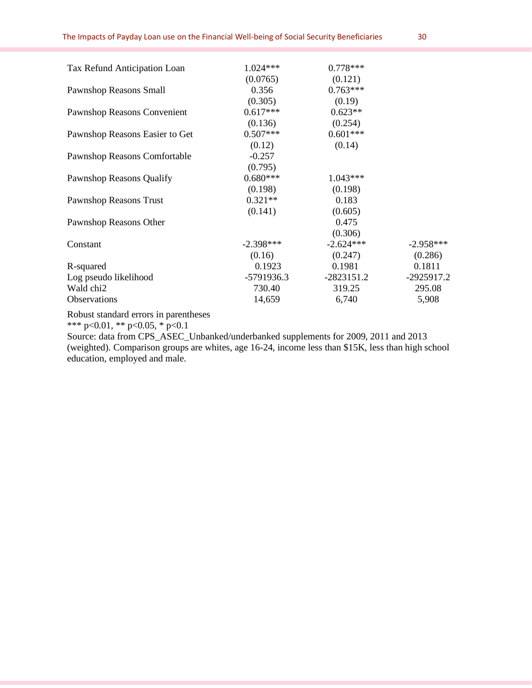| $1.024***$  | $0.778***$  |             |
|-------------|-------------|-------------|
| (0.0765)    | (0.121)     |             |
| 0.356       | $0.763***$  |             |
| (0.305)     | (0.19)      |             |
| $0.617***$  | $0.623**$   |             |
| (0.136)     | (0.254)     |             |
| $0.507***$  | $0.601***$  |             |
| (0.12)      | (0.14)      |             |
| $-0.257$    |             |             |
| (0.795)     |             |             |
| $0.680***$  | $1.043***$  |             |
| (0.198)     | (0.198)     |             |
| $0.321**$   | 0.183       |             |
| (0.141)     | (0.605)     |             |
|             | 0.475       |             |
|             | (0.306)     |             |
| $-2.398***$ | $-2.624***$ | $-2.958***$ |
| (0.16)      | (0.247)     | (0.286)     |
| 0.1923      | 0.1981      | 0.1811      |
|             | -2823151.2  | -2925917.2  |
| 730.40      | 319.25      | 295.08      |
| 14,659      | 6,740       | 5,908       |
|             |             | -5791936.3  |

Robust standard errors in parentheses

\*\*\* p<0.01, \*\* p<0.05, \* p<0.1

Source: data from CPS\_ASEC\_Unbanked/underbanked supplements for 2009, 2011 and 2013 (weighted). Comparison groups are whites, age 16-24, income less than \$15K, less than high school education, employed and male.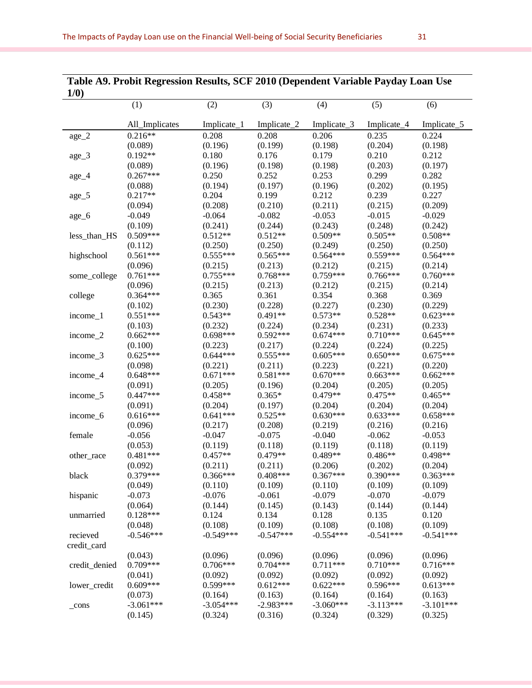| 1/0)          |                |             |             |             |             |                     |
|---------------|----------------|-------------|-------------|-------------|-------------|---------------------|
|               | (1)            | (2)         | (3)         | (4)         | (5)         | (6)                 |
|               |                |             |             |             |             |                     |
|               | All_Implicates | Implicate_1 | Implicate_2 | Implicate_3 | Implicate_4 | Implicate_5         |
| $age_2$       | $0.216**$      | 0.208       | 0.208       | 0.206       | 0.235       | 0.224               |
|               | (0.089)        | (0.196)     | (0.199)     | (0.198)     | (0.204)     | (0.198)             |
| $age_3$       | $0.192**$      | 0.180       | 0.176       | 0.179       | 0.210       | 0.212               |
|               | (0.089)        | (0.196)     | (0.198)     | (0.198)     | (0.203)     | (0.197)             |
| $age_4$       | $0.267***$     | 0.250       | 0.252       | 0.253       | 0.299       | 0.282               |
|               | (0.088)        | (0.194)     | (0.197)     | (0.196)     | (0.202)     | (0.195)             |
| $age_5$       | $0.217**$      | 0.204       | 0.199       | 0.212       | 0.239       | 0.227               |
|               | (0.094)        | (0.208)     | (0.210)     | (0.211)     | (0.215)     | (0.209)             |
| age_6         | $-0.049$       | $-0.064$    | $-0.082$    | $-0.053$    | $-0.015$    | $-0.029$            |
|               | (0.109)        | (0.241)     | (0.244)     | (0.243)     | (0.248)     | (0.242)             |
| less_than_HS  | $0.509***$     | $0.512**$   | $0.512**$   | $0.509**$   | $0.505**$   | $0.508**$           |
|               | (0.112)        | (0.250)     | (0.250)     | (0.249)     | (0.250)     | (0.250)             |
| highschool    | $0.561***$     | $0.555***$  | $0.565***$  | $0.564***$  | $0.559***$  | $0.564***$          |
|               | (0.096)        | (0.215)     | (0.213)     | (0.212)     | (0.215)     | (0.214)             |
| some_college  | $0.761***$     | $0.755***$  | $0.768***$  | $0.759***$  | $0.766***$  | $0.760***$          |
|               | (0.096)        | (0.215)     | (0.213)     | (0.212)     | (0.215)     | (0.214)             |
| college       | $0.364***$     | 0.365       | 0.361       | 0.354       | 0.368       | 0.369               |
|               | (0.102)        | (0.230)     | (0.228)     | (0.227)     | (0.230)     | (0.229)             |
| income_1      | $0.551***$     | $0.543**$   | $0.491**$   | $0.573**$   | $0.528**$   | $0.623***$          |
|               | (0.103)        | (0.232)     | (0.224)     | (0.234)     | (0.231)     | (0.233)             |
| income_2      | $0.662***$     | 0.698***    | $0.592***$  | $0.674***$  | $0.710***$  | $0.645***$          |
|               | (0.100)        | (0.223)     | (0.217)     | (0.224)     | (0.224)     | (0.225)             |
| income_3      | $0.625***$     | $0.644***$  | $0.555***$  | $0.605***$  | $0.650***$  | $0.675***$          |
|               | (0.098)        | (0.221)     | (0.211)     | (0.223)     | (0.221)     | (0.220)             |
| income_4      | $0.648***$     | $0.671***$  | $0.581***$  | $0.670***$  | $0.663***$  | $0.662***$          |
|               | (0.091)        | (0.205)     | (0.196)     | (0.204)     | (0.205)     | (0.205)             |
|               | $0.447***$     | $0.458**$   | $0.365*$    | $0.479**$   | $0.475**$   | $0.465**$           |
| income_5      | (0.091)        | (0.204)     | (0.197)     | (0.204)     | (0.204)     | (0.204)             |
|               | $0.616***$     | $0.641***$  | $0.525**$   | $0.630***$  | $0.633***$  | $0.658***$          |
| income_6      |                |             |             |             |             |                     |
| female        | (0.096)        | (0.217)     | (0.208)     | (0.219)     | (0.216)     | (0.216)<br>$-0.053$ |
|               | $-0.056$       | $-0.047$    | $-0.075$    | $-0.040$    | $-0.062$    |                     |
|               | (0.053)        | (0.119)     | (0.118)     | (0.119)     | (0.118)     | (0.119)<br>0.498**  |
| other_race    | $0.481***$     | $0.457**$   | 0.479**     | 0.489**     | 0.486**     |                     |
|               | (0.092)        | (0.211)     | (0.211)     | (0.206)     | (0.202)     | (0.204)             |
| black         | $0.379***$     | 0.366***    | $0.408***$  | $0.367***$  | $0.390***$  | $0.363***$          |
|               | (0.049)        | (0.110)     | (0.109)     | (0.110)     | (0.109)     | (0.109)             |
| hispanic      | $-0.073$       | $-0.076$    | $-0.061$    | $-0.079$    | $-0.070$    | $-0.079$            |
|               | (0.064)        | (0.144)     | (0.145)     | (0.143)     | (0.144)     | (0.144)             |
| unmarried     | $0.128***$     | 0.124       | 0.134       | 0.128       | 0.135       | 0.120               |
|               | (0.048)        | (0.108)     | (0.109)     | (0.108)     | (0.108)     | (0.109)             |
| recieved      | $-0.546***$    | $-0.549***$ | $-0.547***$ | $-0.554***$ | $-0.541***$ | $-0.541***$         |
| credit_card   |                |             |             |             |             |                     |
|               | (0.043)        | (0.096)     | (0.096)     | (0.096)     | (0.096)     | (0.096)             |
| credit_denied | $0.709***$     | $0.706***$  | $0.704***$  | $0.711***$  | $0.710***$  | $0.716***$          |
|               | (0.041)        | (0.092)     | (0.092)     | (0.092)     | (0.092)     | (0.092)             |
| lower_credit  | $0.609***$     | 0.599***    | $0.612***$  | $0.622***$  | $0.596***$  | $0.613***$          |
|               | (0.073)        | (0.164)     | (0.163)     | (0.164)     | (0.164)     | (0.163)             |
| $_{\rm cons}$ | $-3.061***$    | $-3.054***$ | $-2.983***$ | $-3.060***$ | $-3.113***$ | $-3.101***$         |
|               | (0.145)        | (0.324)     | (0.316)     | (0.324)     | (0.329)     | (0.325)             |

## **Table A9. Probit Regression Results, SCF 2010 (Dependent Variable Payday Loan Use**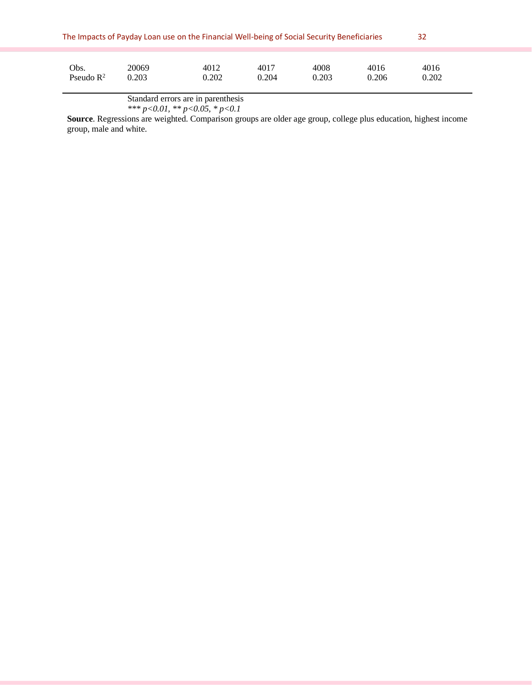| The Impacts of Payday Loan use on the Financial Well-being of Social Security Beneficiaries |       |       |       |       |       |       |  |
|---------------------------------------------------------------------------------------------|-------|-------|-------|-------|-------|-------|--|
| Obs.                                                                                        | 20069 | 4012  | 4017  | 4008  | 4016  | 4016  |  |
| Pseudo $\mathbb{R}^2$                                                                       | 0.203 | 0.202 | 0.204 | 0.203 | 0.206 | 0.202 |  |

Standard errors are in parenthesis

*\*\*\* p<0.01, \*\* p<0.05, \* p<0.1* 

**Source**. Regressions are weighted. Comparison groups are older age group, college plus education, highest income group, male and white.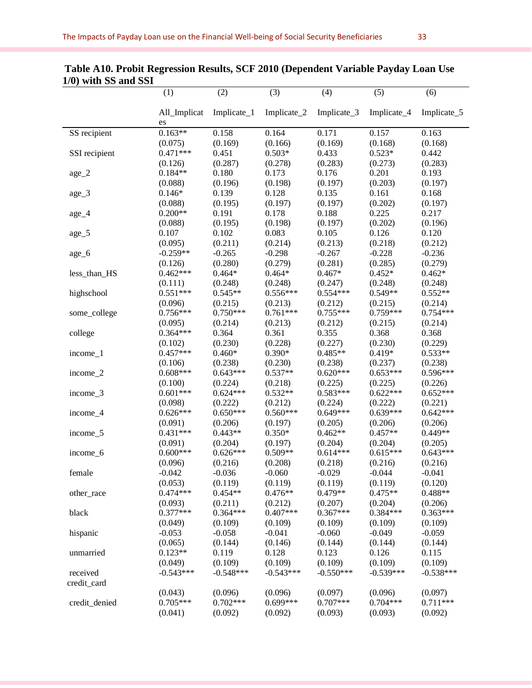|               | (1)                | (2)            | (3)         | (4)         | (5)         | (6)         |
|---------------|--------------------|----------------|-------------|-------------|-------------|-------------|
|               | All_Implicat<br>es | Implicate_ $1$ | Implicate_2 | Implicate_3 | Implicate_4 | Implicate_5 |
| SS recipient  | $0.163**$          | 0.158          | 0.164       | 0.171       | 0.157       | 0.163       |
|               | (0.075)            | (0.169)        | (0.166)     | (0.169)     | (0.168)     | (0.168)     |
| SSI recipient | $0.471***$         | 0.451          | $0.503*$    | 0.433       | $0.523*$    | 0.442       |
|               | (0.126)            | (0.287)        | (0.278)     | (0.283)     | (0.273)     | (0.283)     |
| age_2         | $0.184**$          | 0.180          | 0.173       | 0.176       | 0.201       | 0.193       |
|               | (0.088)            | (0.196)        | (0.198)     | (0.197)     | (0.203)     | (0.197)     |
| $age_3$       | $0.146*$           | 0.139          | 0.128       | 0.135       | 0.161       | 0.168       |
|               | (0.088)            | (0.195)        | (0.197)     | (0.197)     | (0.202)     | (0.197)     |
| $age_4$       | $0.200**$          | 0.191          | 0.178       | 0.188       | 0.225       | 0.217       |
|               | (0.088)            | (0.195)        | (0.198)     | (0.197)     | (0.202)     | (0.196)     |
| age_5         | 0.107              | 0.102          | 0.083       | 0.105       | 0.126       | 0.120       |
|               | (0.095)            | (0.211)        | (0.214)     | (0.213)     | (0.218)     | (0.212)     |
| age_6         | $-0.259**$         | $-0.265$       | $-0.298$    | $-0.267$    | $-0.228$    | $-0.236$    |
|               | (0.126)            | (0.280)        | (0.279)     | (0.281)     | (0.285)     | (0.279)     |
| less_than_HS  | $0.462***$         | $0.464*$       | $0.464*$    | $0.467*$    | $0.452*$    | $0.462*$    |
|               | (0.111)            | (0.248)        | (0.248)     | (0.247)     | (0.248)     | (0.248)     |
| highschool    | $0.551***$         | $0.545**$      | $0.556***$  | $0.554***$  | $0.549**$   | $0.552**$   |
|               | (0.096)            | (0.215)        | (0.213)     | (0.212)     | (0.215)     | (0.214)     |
| some_college  | $0.756***$         | $0.750***$     | $0.761***$  | $0.755***$  | $0.759***$  | $0.754***$  |
|               | (0.095)            | (0.214)        | (0.213)     | (0.212)     | (0.215)     | (0.214)     |
| college       | $0.364***$         | 0.364          | 0.361       | 0.355       | 0.368       | 0.368       |
|               | (0.102)            | (0.230)        | (0.228)     | (0.227)     | (0.230)     | (0.229)     |
| income_1      | $0.457***$         | $0.460*$       | $0.390*$    | $0.485**$   | $0.419*$    | $0.533**$   |
|               | (0.106)            | (0.238)        | (0.230)     | (0.238)     | (0.237)     | (0.238)     |
| income_2      | $0.608***$         | $0.643***$     | $0.537**$   | $0.620***$  | $0.653***$  | $0.596***$  |
|               | (0.100)            | (0.224)        | (0.218)     | (0.225)     | (0.225)     | (0.226)     |
| income_3      | $0.601***$         | $0.624***$     | $0.532**$   | $0.583***$  | $0.622***$  | $0.652***$  |
|               | (0.098)            | (0.222)        | (0.212)     | (0.224)     | (0.222)     | (0.221)     |
| income_4      | $0.626***$         | $0.650***$     | $0.560***$  | $0.649***$  | $0.639***$  | $0.642***$  |
|               | (0.091)            | (0.206)        | (0.197)     | (0.205)     | (0.206)     | (0.206)     |
| income_5      | $0.431***$         | $0.443**$      | $0.350*$    | $0.462**$   | $0.457**$   | $0.449**$   |
|               | (0.091)            | (0.204)        | (0.197)     | (0.204)     | (0.204)     | (0.205)     |
| income_6      | $0.600***$         | $0.626***$     | $0.509**$   | $0.614***$  | $0.615***$  | $0.643***$  |
|               | (0.096)            | (0.216)        | (0.208)     | (0.218)     | (0.216)     | (0.216)     |
| female        | $-0.042$           | $-0.036$       | $-0.060$    | $-0.029$    | $-0.044$    | $-0.041$    |
|               | (0.053)            | (0.119)        | (0.119)     | (0.119)     | (0.119)     | (0.120)     |
| other_race    | $0.474***$         | $0.454**$      | $0.476**$   | $0.479**$   | $0.475**$   | $0.488**$   |
|               | (0.093)            | (0.211)        | (0.212)     | (0.207)     | (0.204)     | (0.206)     |
| black         | $0.377***$         | $0.364***$     | $0.407***$  | $0.367***$  | $0.384***$  | $0.363***$  |
|               | (0.049)            | (0.109)        | (0.109)     | (0.109)     | (0.109)     | (0.109)     |
| hispanic      | $-0.053$           | $-0.058$       | $-0.041$    | $-0.060$    | $-0.049$    | $-0.059$    |
|               | (0.065)            | (0.144)        | (0.146)     | (0.144)     | (0.144)     | (0.144)     |
| unmarried     | $0.123**$          | 0.119          | 0.128       | 0.123       | 0.126       | 0.115       |
|               | (0.049)            | (0.109)        | (0.109)     | (0.109)     | (0.109)     | (0.109)     |
| received      | $-0.543***$        | $-0.548***$    | $-0.543***$ | $-0.550***$ | $-0.539***$ | $-0.538***$ |
| credit_card   |                    |                |             |             |             |             |
|               | (0.043)            | (0.096)        | (0.096)     | (0.097)     | (0.096)     | (0.097)     |
| credit_denied | $0.705***$         | $0.702***$     | $0.699***$  | $0.707***$  | $0.704***$  | $0.711***$  |
|               | (0.041)            | (0.092)        | (0.092)     | (0.093)     | (0.093)     | (0.092)     |

## **Table A10. Probit Regression Results, SCF 2010 (Dependent Variable Payday Loan Use 1/0) with SS and SSI**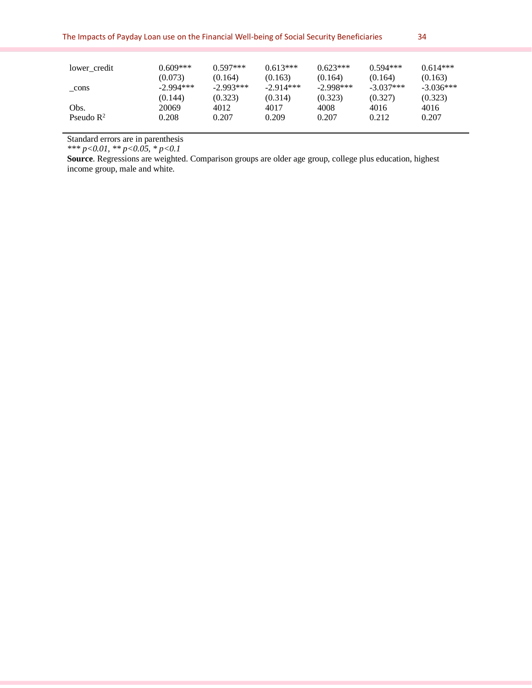| lower credit          | 0.609***    | $0.597***$  | $0.613***$  | $0.623***$  | $0.594***$  | $0.614***$  |
|-----------------------|-------------|-------------|-------------|-------------|-------------|-------------|
|                       | (0.073)     | (0.164)     | (0.163)     | (0.164)     | (0.164)     | (0.163)     |
| cons                  | $-2.994***$ | $-2.993***$ | $-2.914***$ | $-2.998***$ | $-3.037***$ | $-3.036***$ |
|                       | (0.144)     | (0.323)     | (0.314)     | (0.323)     | (0.327)     | (0.323)     |
| Obs.                  | 20069       | 4012        | 4017        | 4008        | 4016        | 4016        |
| Pseudo $\mathbb{R}^2$ | 0.208       | 0.207       | 0.209       | 0.207       | 0.212       | 0.207       |

Standard errors are in parenthesis

*\*\*\* p<0.01, \*\* p<0.05, \* p<0.1* 

**Source**. Regressions are weighted. Comparison groups are older age group, college plus education, highest income group, male and white.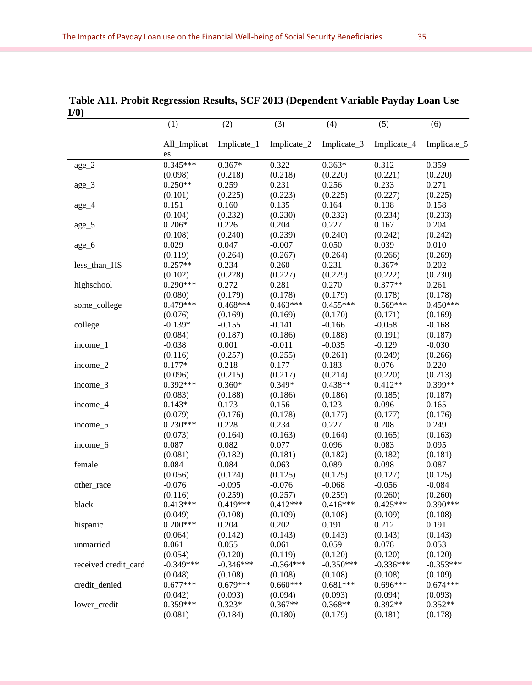|              | (1)                | (2)         | (3)         | (4)         | (5)         | (6)         |
|--------------|--------------------|-------------|-------------|-------------|-------------|-------------|
|              | All_Implicat<br>es | Implicate_1 | Implicate_2 | Implicate_3 | Implicate_4 | Implicate_5 |
| $\rm age\_2$ | $0.345***$         | $0.367*$    | 0.322       | $0.363*$    | 0.312       | 0.359       |
|              | (0.098)            | (0.218)     | (0.218)     | (0.220)     | (0.221)     | (0.220)     |
| $age_3$      | $0.250**$          | 0.259       | 0.231       | 0.256       | 0.233       | 0.271       |
|              | (0.101)            | (0.225)     | (0.223)     | (0.225)     | (0.227)     | (0.225)     |
| age_4        | 0.151              | 0.160       | 0.135       | 0.164       | 0.138       | 0.158       |
|              | (0.104)            | (0.232)     | (0.230)     | (0.232)     | (0.234)     | (0.233)     |
| age_5        | $0.206*$           | 0.226       | 0.204       | 0.227       | 0.167       | 0.204       |
|              | (0.108)            | (0.240)     | (0.239)     | (0.240)     | (0.242)     | (0.242)     |
| $age_6$      | 0.029              | 0.047       | $-0.007$    | 0.050       | 0.039       | 0.010       |
|              | (0.119)            | (0.264)     | (0.267)     | (0.264)     | (0.266)     | (0.269)     |
| less_than_HS | $0.257**$          | 0.234       | 0.260       | 0.231       | $0.367*$    | 0.202       |
|              | (0.102)            | (0.228)     | (0.227)     | (0.229)     | (0.222)     | (0.230)     |
| highschool   | $0.290***$         | 0.272       | 0.281       | 0.270       | $0.377**$   | 0.261       |
|              | (0.080)            | (0.179)     | (0.178)     | (0.179)     | (0.178)     | (0.178)     |
| some_college | $0.479***$         | $0.468***$  | $0.463***$  | $0.455***$  | $0.569***$  | $0.450***$  |
|              | (0.076)            | (0.169)     | (0.169)     | (0.170)     | (0.171)     | (0.169)     |
| college      | $-0.139*$          | $-0.155$    | $-0.141$    | $-0.166$    | $-0.058$    | $-0.168$    |
|              | (0.084)            | (0.187)     | (0.186)     | (0.188)     | (0.191)     | (0.187)     |
| income_1     | $-0.038$           | 0.001       | $-0.011$    | $-0.035$    | $-0.129$    | $-0.030$    |
|              | (0.116)            | (0.257)     | (0.255)     | (0.261)     | (0.249)     | (0.266)     |
| income_2     | $0.177*$           | 0.218       | 0.177       | 0.183       | 0.076       | 0.220       |
|              | (0.096)            | (0.215)     | (0.217)     | (0.214)     | (0.220)     | (0.213)     |
| income_3     | $0.392***$         | $0.360*$    | $0.349*$    | $0.438**$   | $0.412**$   | 0.399**     |
|              | (0.083)            | (0.188)     | (0.186)     | (0.186)     | (0.185)     | (0.187)     |
| income_4     | $0.143*$           | 0.173       | 0.156       | 0.123       | 0.096       | 0.165       |
|              | (0.079)            | (0.176)     | (0.178)     | (0.177)     | (0.177)     | (0.176)     |
| income_5     | $0.230***$         | 0.228       | 0.234       | 0.227       | 0.208       | 0.249       |
|              | (0.073)            | (0.164)     | (0.163)     | (0.164)     | (0.165)     | (0.163)     |
| income_6     | 0.087              | 0.082       | 0.077       | 0.096       | 0.083       | 0.095       |
|              | (0.081)            | (0.182)     | (0.181)     | (0.182)     | (0.182)     | (0.181)     |

#### **Table A11. Probit Regression Results, SCF 2013 (Dependent Variable Payday Loan Use 1/0)**

| $income_4$           | $0.143*$    | 0.173       | 0.156       | 0.123       | 0.096       | 0.165       |
|----------------------|-------------|-------------|-------------|-------------|-------------|-------------|
|                      | (0.079)     | (0.176)     | (0.178)     | (0.177)     | (0.177)     | (0.176)     |
| income 5             | $0.230***$  | 0.228       | 0.234       | 0.227       | 0.208       | 0.249       |
|                      | (0.073)     | (0.164)     | (0.163)     | (0.164)     | (0.165)     | (0.163)     |
| income 6             | 0.087       | 0.082       | 0.077       | 0.096       | 0.083       | 0.095       |
|                      | (0.081)     | (0.182)     | (0.181)     | (0.182)     | (0.182)     | (0.181)     |
| female               | 0.084       | 0.084       | 0.063       | 0.089       | 0.098       | 0.087       |
|                      | (0.056)     | (0.124)     | (0.125)     | (0.125)     | (0.127)     | (0.125)     |
| other race           | $-0.076$    | $-0.095$    | $-0.076$    | $-0.068$    | $-0.056$    | $-0.084$    |
|                      | (0.116)     | (0.259)     | (0.257)     | (0.259)     | (0.260)     | (0.260)     |
| black                | $0.413***$  | $0.419***$  | $0.412***$  | $0.416***$  | $0.425***$  | $0.390***$  |
|                      | (0.049)     | (0.108)     | (0.109)     | (0.108)     | (0.109)     | (0.108)     |
| hispanic             | $0.200***$  | 0.204       | 0.202       | 0.191       | 0.212       | 0.191       |
|                      | (0.064)     | (0.142)     | (0.143)     | (0.143)     | (0.143)     | (0.143)     |
| unmarried            | 0.061       | 0.055       | 0.061       | 0.059       | 0.078       | 0.053       |
|                      | (0.054)     | (0.120)     | (0.119)     | (0.120)     | (0.120)     | (0.120)     |
| received credit card | $-0.349***$ | $-0.346***$ | $-0.364***$ | $-0.350***$ | $-0.336***$ | $-0.353***$ |
|                      | (0.048)     | (0.108)     | (0.108)     | (0.108)     | (0.108)     | (0.109)     |
| credit_denied        | $0.677***$  | $0.679***$  | $0.660***$  | $0.681***$  | $0.696***$  | $0.674***$  |
|                      | (0.042)     | (0.093)     | (0.094)     | (0.093)     | (0.094)     | (0.093)     |
| lower_credit         | $0.359***$  | $0.323*$    | $0.367**$   | $0.368**$   | $0.392**$   | $0.352**$   |
|                      | (0.081)     | (0.184)     | (0.180)     | (0.179)     | (0.181)     | (0.178)     |
|                      |             |             |             |             |             |             |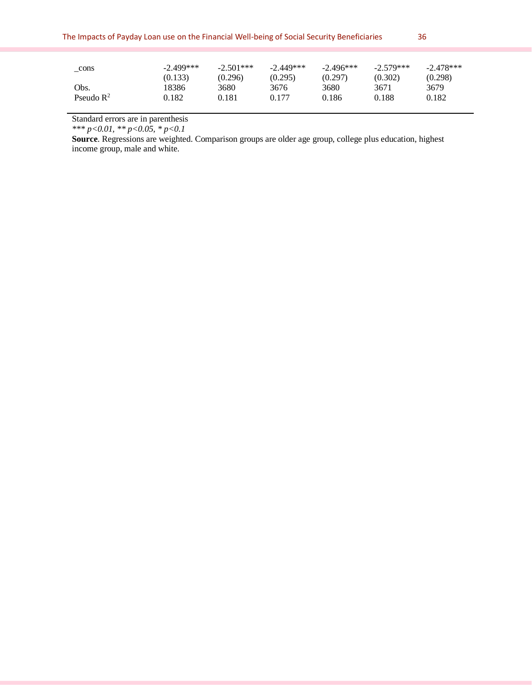| cons                  | $-2.499***$ | $-2.501***$ | $-2.449***$ | $-2.496***$ | $-2.579***$ | $-2.478***$ |
|-----------------------|-------------|-------------|-------------|-------------|-------------|-------------|
|                       | (0.133)     | (0.296)     | (0.295)     | (0.297)     | (0.302)     | (0.298)     |
| Obs.                  | 8386        | 3680        | 3676        | 3680        | 3671        | 3679        |
| Pseudo $\mathbb{R}^2$ | 0.182       | 0.181       | 0.177       | 0.186       | 0.188       | 0.182       |

Standard errors are in parenthesis

*\*\*\* p<0.01, \*\* p<0.05, \* p<0.1* 

**Source**. Regressions are weighted. Comparison groups are older age group, college plus education, highest income group, male and white.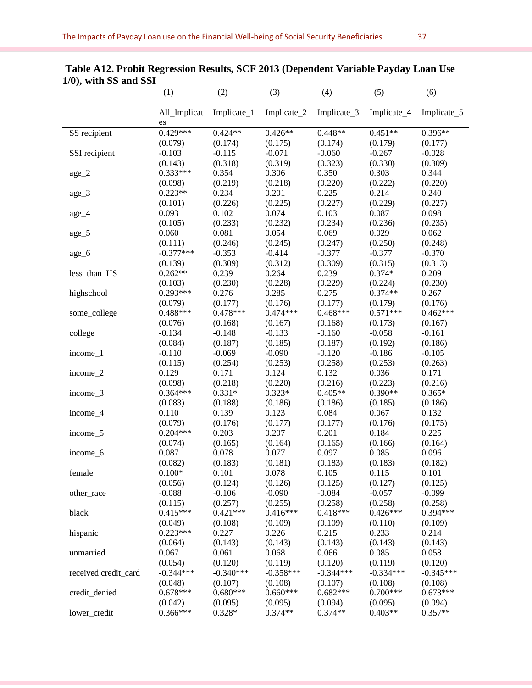|                      | (1)                | (2)         | (3)         | (4)         | (5)         | (6)         |
|----------------------|--------------------|-------------|-------------|-------------|-------------|-------------|
|                      | All_Implicat<br>es | Implicate_1 | Implicate_2 | Implicate_3 | Implicate_4 | Implicate_5 |
| SS recipient         | $0.429***$         | $0.424**$   | $0.426**$   | $0.448**$   | $0.451**$   | $0.396**$   |
|                      | (0.079)            | (0.174)     | (0.175)     | (0.174)     | (0.179)     | (0.177)     |
| SSI recipient        | $-0.103$           | $-0.115$    | $-0.071$    | $-0.060$    | $-0.267$    | $-0.028$    |
|                      | (0.143)            | (0.318)     | (0.319)     | (0.323)     | (0.330)     | (0.309)     |
| $age_2$              | $0.333***$         | 0.354       | 0.306       | 0.350       | 0.303       | 0.344       |
|                      | (0.098)            | (0.219)     | (0.218)     | (0.220)     | (0.222)     | (0.220)     |
| age_3                | $0.223**$          | 0.234       | 0.201       | 0.225       | 0.214       | 0.240       |
|                      | (0.101)            | (0.226)     | (0.225)     | (0.227)     | (0.229)     | (0.227)     |
| age_4                | 0.093              | 0.102       | 0.074       | 0.103       | 0.087       | 0.098       |
|                      | (0.105)            | (0.233)     | (0.232)     | (0.234)     | (0.236)     | (0.235)     |
| age_5                | 0.060              | 0.081       | 0.054       | 0.069       | 0.029       | 0.062       |
|                      | (0.111)            | (0.246)     | (0.245)     | (0.247)     | (0.250)     | (0.248)     |
| age_6                | $-0.377***$        | $-0.353$    | $-0.414$    | $-0.377$    | $-0.377$    | $-0.370$    |
|                      | (0.139)            | (0.309)     | (0.312)     | (0.309)     | (0.315)     | (0.313)     |
| less_than_HS         | $0.262**$          | 0.239       | 0.264       | 0.239       | $0.374*$    | 0.209       |
|                      | (0.103)            | (0.230)     | (0.228)     | (0.229)     | (0.224)     | (0.230)     |
| highschool           | $0.293***$         | 0.276       | 0.285       | 0.275       | $0.374**$   | 0.267       |
|                      | (0.079)            | (0.177)     | (0.176)     | (0.177)     | (0.179)     | (0.176)     |
| some_college         | $0.488***$         | $0.478***$  | $0.474***$  | $0.468***$  | $0.571***$  | $0.462***$  |
|                      | (0.076)            | (0.168)     | (0.167)     | (0.168)     | (0.173)     | (0.167)     |
| college              | $-0.134$           | $-0.148$    | $-0.133$    | $-0.160$    | $-0.058$    | $-0.161$    |
|                      | (0.084)            | (0.187)     | (0.185)     | (0.187)     | (0.192)     | (0.186)     |
| income_1             | $-0.110$           | $-0.069$    | $-0.090$    | $-0.120$    | $-0.186$    | $-0.105$    |
|                      | (0.115)            | (0.254)     | (0.253)     | (0.258)     | (0.253)     | (0.263)     |
| income_2             | 0.129              | 0.171       | 0.124       | 0.132       | 0.036       | 0.171       |
|                      | (0.098)            | (0.218)     | (0.220)     | (0.216)     | (0.223)     | (0.216)     |
| income_3             | $0.364***$         | $0.331*$    | $0.323*$    | $0.405**$   | $0.390**$   | $0.365*$    |
|                      | (0.083)            | (0.188)     | (0.186)     | (0.186)     | (0.185)     | (0.186)     |
| income_4             | 0.110              | 0.139       | 0.123       | 0.084       | 0.067       | 0.132       |
|                      | (0.079)            | (0.176)     | (0.177)     | (0.177)     | (0.176)     | (0.175)     |
| income_5             | $0.204***$         | 0.203       | 0.207       | 0.201       | 0.184       | 0.225       |
|                      | (0.074)            | (0.165)     | (0.164)     | (0.165)     | (0.166)     | (0.164)     |
| income_6             | 0.087              | 0.078       | 0.077       | 0.097       | 0.085       | 0.096       |
|                      | (0.082)            | (0.183)     | (0.181)     | (0.183)     | (0.183)     | (0.182)     |
| female               | $0.100*$           | 0.101       | 0.078       | 0.105       | 0.115       | 0.101       |
|                      | (0.056)            | (0.124)     | (0.126)     | (0.125)     | (0.127)     | (0.125)     |
| other_race           | $-0.088$           | $-0.106$    | $-0.090$    | $-0.084$    | $-0.057$    | $-0.099$    |
|                      | (0.115)            | (0.257)     | (0.255)     | (0.258)     | (0.258)     | (0.258)     |
| black                | $0.415***$         | $0.421***$  | $0.416***$  | $0.418***$  | $0.426***$  | $0.394***$  |
|                      | (0.049)            | (0.108)     | (0.109)     | (0.109)     | (0.110)     | (0.109)     |
| hispanic             | $0.223***$         | 0.227       | 0.226       | 0.215       | 0.233       | 0.214       |
|                      | (0.064)            | (0.143)     | (0.143)     | (0.143)     | (0.143)     | (0.143)     |
| unmarried            | 0.067              | 0.061       | 0.068       | 0.066       | 0.085       | 0.058       |
|                      | (0.054)            | (0.120)     | (0.119)     | (0.120)     | (0.119)     | (0.120)     |
| received credit_card | $-0.344***$        | $-0.340***$ | $-0.358***$ | $-0.344***$ | $-0.334***$ | $-0.345***$ |
|                      | (0.048)            | (0.107)     | (0.108)     | (0.107)     | (0.108)     | (0.108)     |
| credit_denied        | $0.678***$         | $0.680***$  | $0.660***$  | $0.682***$  | $0.700***$  | $0.673***$  |
|                      | (0.042)            | (0.095)     | (0.095)     | (0.094)     | (0.095)     | (0.094)     |
| lower_credit         | 0.366***           | $0.328*$    | $0.374**$   | $0.374**$   | $0.403**$   | $0.357**$   |
|                      |                    |             |             |             |             |             |

## **Table A12. Probit Regression Results, SCF 2013 (Dependent Variable Payday Loan Use 1/0), with SS and SSI**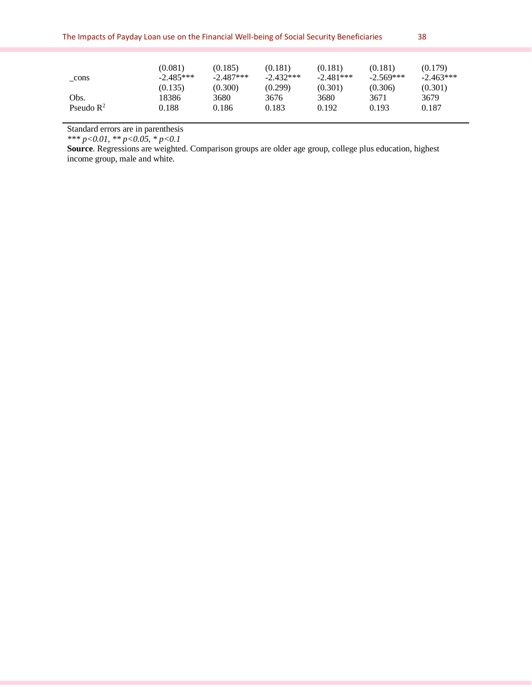| _cons                 | (0.081)<br>$-2.485***$<br>(0.135) | (0.185)<br>$-2.487***$<br>(0.300) | (0.181)<br>$-2.432***$<br>(0.299) | (0.181)<br>$-2.481***$<br>(0.301) | (0.181)<br>$-2.569***$<br>(0.306) | (0.179)<br>$-2.463***$<br>(0.301) |
|-----------------------|-----------------------------------|-----------------------------------|-----------------------------------|-----------------------------------|-----------------------------------|-----------------------------------|
| Obs.                  | 18386                             | 3680                              | 3676                              | 3680                              | 3671                              | 3679                              |
| Pseudo $\mathbb{R}^2$ | 0.188                             | 0.186                             | 0.183                             | 0.192                             | 0.193                             | 0.187                             |

Standard errors are in parenthesis

*\*\*\* p<0.01, \*\* p<0.05, \* p<0.1* 

**Source**. Regressions are weighted. Comparison groups are older age group, college plus education, highest income group, male and white.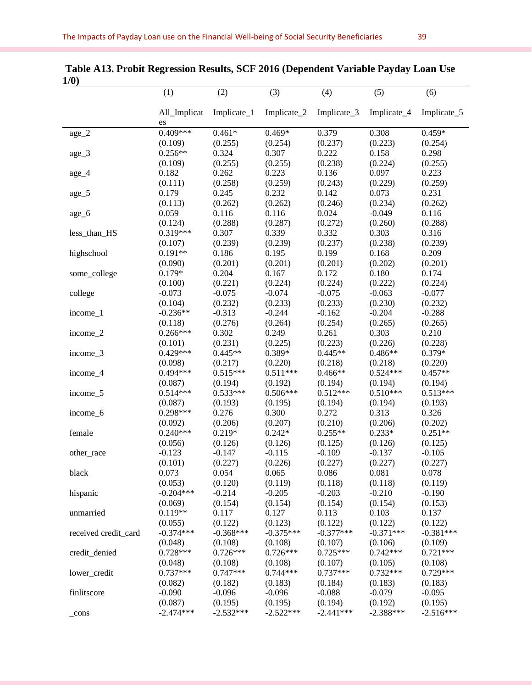| 17 V J               |                       |                     |                     |                     |                  |                  |
|----------------------|-----------------------|---------------------|---------------------|---------------------|------------------|------------------|
|                      | (1)                   | (2)                 | (3)                 | (4)                 | (5)              | (6)              |
|                      |                       |                     |                     |                     |                  |                  |
|                      | All_Implicat<br>es    | Implicate_1         | Implicate_2         | Implicate_3         | Implicate_4      | Implicate_5      |
| $\rm age\_2$         | $0.409***$            | $0.461*$            | $0.469*$            | 0.379               | 0.308            | $0.459*$         |
|                      | (0.109)               | (0.255)             | (0.254)             | (0.237)             | (0.223)          | (0.254)          |
| $age_3$              | $0.256**$             | 0.324               | 0.307               | 0.222               | 0.158            | 0.298            |
|                      | (0.109)               | (0.255)             | (0.255)             | (0.238)             | (0.224)          | (0.255)          |
| $age_4$              | 0.182                 | 0.262               | 0.223               | 0.136               | 0.097            | 0.223            |
|                      | (0.111)               | (0.258)             | (0.259)             | (0.243)             | (0.229)          | (0.259)          |
| age_5                | 0.179                 | 0.245               | 0.232               | 0.142               | 0.073            | 0.231            |
|                      | (0.113)               | (0.262)             | (0.262)             | (0.246)             | (0.234)          | (0.262)          |
| age_6                | 0.059                 | 0.116               | 0.116               | 0.024               | $-0.049$         | 0.116            |
|                      | (0.124)               | (0.288)             | (0.287)             | (0.272)             | (0.260)          | (0.288)          |
| less_than_HS         | $0.319***$            | 0.307               | 0.339               | 0.332               | 0.303            | 0.316            |
|                      | (0.107)               | (0.239)             | (0.239)             | (0.237)             | (0.238)          | (0.239)          |
| highschool           | $0.191**$             | 0.186               | 0.195               | 0.199               | 0.168            | 0.209            |
|                      | (0.090)               | (0.201)             | (0.201)             | (0.201)             | (0.202)          | (0.201)          |
|                      | $0.179*$              | 0.204               | 0.167               | 0.172               | 0.180            | 0.174            |
| some_college         |                       | (0.221)             | (0.224)             | (0.224)             | (0.222)          | (0.224)          |
|                      | (0.100)<br>$-0.073$   | $-0.075$            | $-0.074$            | $-0.075$            | $-0.063$         | $-0.077$         |
| college              |                       |                     |                     |                     | (0.230)          | (0.232)          |
| income_1             | (0.104)<br>$-0.236**$ | (0.232)<br>$-0.313$ | (0.233)<br>$-0.244$ | (0.233)<br>$-0.162$ |                  | $-0.288$         |
|                      |                       |                     |                     |                     | $-0.204$         |                  |
|                      | (0.118)<br>$0.266***$ | (0.276)<br>0.302    | (0.264)             | (0.254)             | (0.265)<br>0.303 | (0.265)<br>0.210 |
| income_2             |                       |                     | 0.249               | 0.261               |                  |                  |
|                      | (0.101)               | (0.231)             | (0.225)             | (0.223)             | (0.226)          | (0.228)          |
| income_3             | $0.429***$            | $0.445**$           | 0.389*              | $0.445**$           | $0.486**$        | 0.379*           |
|                      | (0.098)               | (0.217)             | (0.220)             | (0.218)             | (0.218)          | (0.220)          |
| income_4             | $0.494***$            | $0.515***$          | $0.511***$          | $0.466**$           | $0.524***$       | $0.457**$        |
|                      | (0.087)               | (0.194)             | (0.192)             | (0.194)             | (0.194)          | (0.194)          |
| income_5             | $0.514***$            | $0.533***$          | $0.506***$          | $0.512***$          | $0.510***$       | $0.513***$       |
|                      | (0.087)               | (0.193)             | (0.195)             | (0.194)             | (0.194)          | (0.193)          |
| income_6             | $0.298***$            | 0.276               | 0.300               | 0.272               | 0.313            | 0.326            |
|                      | (0.092)               | (0.206)             | (0.207)             | (0.210)             | (0.206)          | (0.202)          |
| female               | $0.240***$            | $0.219*$            | $0.242*$            | $0.255**$           | $0.233*$         | $0.251**$        |
|                      | (0.056)               | (0.126)             | (0.126)             | (0.125)             | (0.126)          | (0.125)          |
| other race           | $-0.123$              | $-0.147$            | $-0.115$            | $-0.109$            | $-0.137$         | $-0.105$         |
|                      | (0.101)               | (0.227)             | (0.226)             | (0.227)             | (0.227)          | (0.227)          |
| black                | 0.073                 | 0.054               | 0.065               | 0.086               | 0.081            | 0.078            |
|                      | (0.053)               | (0.120)             | (0.119)             | (0.118)             | (0.118)          | (0.119)          |
| hispanic             | $-0.204***$           | $-0.214$            | $-0.205$            | $-0.203$            | $-0.210$         | $-0.190$         |
|                      | (0.069)               | (0.154)             | (0.154)             | (0.154)             | (0.154)          | (0.153)          |
| unmarried            | $0.119**$             | 0.117               | 0.127               | 0.113               | 0.103            | 0.137            |
|                      | (0.055)               | (0.122)             | (0.123)             | (0.122)             | (0.122)          | (0.122)          |
| received credit card | $-0.374***$           | $-0.368***$         | $-0.375***$         | $-0.377***$         | $-0.371***$      | $-0.381***$      |
|                      | (0.048)               | (0.108)             | (0.108)             | (0.107)             | (0.106)          | (0.109)          |
| credit_denied        | $0.728***$            | $0.726***$          | $0.726***$          | $0.725***$          | $0.742***$       | $0.721***$       |
|                      | (0.048)               | (0.108)             | (0.108)             | (0.107)             | (0.105)          | (0.108)          |
| lower_credit         | $0.737***$            | $0.747***$          | $0.744***$          | $0.737***$          | $0.732***$       | $0.729***$       |
|                      | (0.082)               | (0.182)             | (0.183)             | (0.184)             | (0.183)          | (0.183)          |
| finlitscore          | $-0.090$              | $-0.096$            | $-0.096$            | $-0.088$            | $-0.079$         | $-0.095$         |
|                      | (0.087)               | (0.195)             | (0.195)             | (0.194)             | (0.192)          | (0.195)          |
| $_{cons}$            | $-2.474***$           | $-2.532***$         | $-2.522***$         | $-2.441***$         | $-2.388***$      | $-2.516***$      |

**Table A13. Probit Regression Results, SCF 2016 (Dependent Variable Payday Loan Use 1/0)**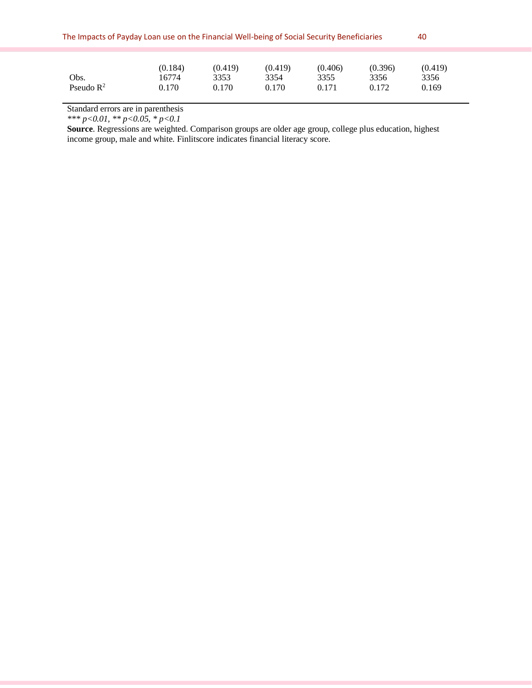| The Impacts of Payday Loan use on the Financial Well-being of Social Security Beneficiaries |                           |                          |                          |                          |                          |                          |  |  |
|---------------------------------------------------------------------------------------------|---------------------------|--------------------------|--------------------------|--------------------------|--------------------------|--------------------------|--|--|
|                                                                                             |                           |                          |                          |                          |                          |                          |  |  |
| Obs.<br>Pseudo $\mathbb{R}^2$                                                               | (0.184)<br>16774<br>0.170 | (0.419)<br>3353<br>0.170 | (0.419)<br>3354<br>0.170 | (0.406)<br>3355<br>0.171 | (0.396)<br>3356<br>0.172 | (0.419)<br>3356<br>0.169 |  |  |

Standard errors are in parenthesis

*\*\*\* p<0.01, \*\* p<0.05, \* p<0.1* 

**Source**. Regressions are weighted. Comparison groups are older age group, college plus education, highest income group, male and white. Finlitscore indicates financial literacy score.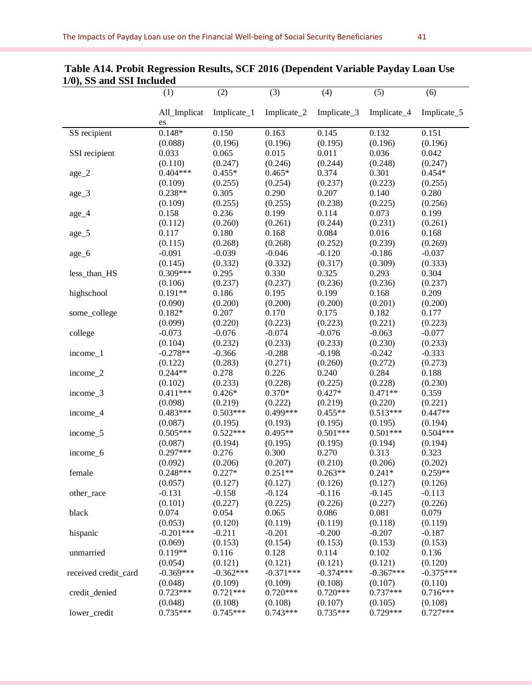|                      | (1)                | (2)         | (3)         | (4)              | (5)         | (6)         |
|----------------------|--------------------|-------------|-------------|------------------|-------------|-------------|
|                      | All_Implicat<br>es | Implicate_1 | Implicate_2 | Implicate_3      | Implicate_4 | Implicate_5 |
| SS recipient         | $0.148*$           | 0.150       | 0.163       | 0.145            | 0.132       | 0.151       |
|                      | (0.088)            | (0.196)     | (0.196)     | (0.195)          | (0.196)     | (0.196)     |
| SSI recipient        | 0.033              | 0.065       | 0.015       | 0.011            | 0.036       | 0.042       |
|                      | (0.110)            | (0.247)     | (0.246)     | (0.244)          | (0.248)     | (0.247)     |
| age_2                | $0.404***$         | $0.455*$    | $0.465*$    | 0.374            | 0.301       | $0.454*$    |
|                      | (0.109)            | (0.255)     | (0.254)     | (0.237)          | (0.223)     | (0.255)     |
| age_3                | $0.238**$          | 0.305       | 0.290       | 0.207            | 0.140       | 0.280       |
|                      | (0.109)            | (0.255)     | (0.255)     | (0.238)          | (0.225)     | (0.256)     |
| age_4                | 0.158              | 0.236       | 0.199       | 0.114            | 0.073       | 0.199       |
|                      | (0.112)            | (0.260)     | (0.261)     | (0.244)          | (0.231)     | (0.261)     |
| age_5                | 0.117              | 0.180       | 0.168       | 0.084            | 0.016       | 0.168       |
|                      | (0.115)            | (0.268)     | (0.268)     | (0.252)          | (0.239)     | (0.269)     |
| age_6                | $-0.091$           | $-0.039$    | $-0.046$    | $-0.120$         | $-0.186$    | $-0.037$    |
|                      | (0.145)            | (0.332)     | (0.332)     | (0.317)          | (0.309)     | (0.333)     |
| less_than_HS         | 0.309***           | 0.295       | 0.330       | 0.325            | 0.293       | 0.304       |
|                      | (0.106)            | (0.237)     | (0.237)     | (0.236)          | (0.236)     | (0.237)     |
| highschool           | $0.191**$          | 0.186       | 0.195       | 0.199            | 0.168       | 0.209       |
|                      | (0.090)            | (0.200)     | (0.200)     | (0.200)          | (0.201)     | (0.200)     |
| some_college         | $0.182*$           | 0.207       | 0.170       | 0.175            | 0.182       | 0.177       |
|                      | (0.099)            | (0.220)     | (0.223)     | (0.223)          | (0.221)     | (0.223)     |
| college              | $-0.073$           | $-0.076$    | $-0.074$    | $-0.076$         | $-0.063$    | $-0.077$    |
|                      | (0.104)            | (0.232)     | (0.233)     | (0.233)          | (0.230)     | (0.233)     |
| income_1             | $-0.278**$         | $-0.366$    | $-0.288$    | $-0.198$         | $-0.242$    | $-0.333$    |
|                      | (0.122)            | (0.283)     | (0.271)     | (0.260)          | (0.272)     | (0.273)     |
| income_2             | $0.244**$          | 0.278       | 0.226       | 0.240            | 0.284       | 0.188       |
|                      | (0.102)            | (0.233)     | (0.228)     | (0.225)          | (0.228)     | (0.230)     |
| income_3             | $0.411***$         | $0.426*$    | $0.370*$    | $0.427*$         | $0.471**$   | 0.359       |
|                      | (0.098)            | (0.219)     | (0.222)     | (0.219)          | (0.220)     | (0.221)     |
| income_4             | $0.483***$         | $0.503***$  | 0.499***    | $0.455**$        | $0.513***$  | $0.447**$   |
|                      | (0.087)            | (0.195)     | (0.193)     | (0.195)          | (0.195)     | (0.194)     |
| income_5             | $0.505***$         | $0.522***$  | $0.495**$   | $0.501***$       | $0.501***$  | $0.504***$  |
|                      | (0.087)            | (0.194)     | (0.195)     | (0.195)          | (0.194)     | (0.194)     |
| income_6             | $0.297***$         | 0.276       | 0.300       | 0.270            | 0.313       | 0.323       |
|                      | (0.092)            | (0.206)     | (0.207)     | (0.210)          | (0.206)     | (0.202)     |
| female               | $0.248***$         | $0.227*$    | $0.251**$   | $0.263**$        | $0.241*$    | $0.259**$   |
|                      | (0.057)            | (0.127)     | (0.127)     | (0.126)          | (0.127)     | (0.126)     |
| other_race           | $-0.131$           | $-0.158$    | $-0.124$    | $-0.116$         | $-0.145$    | $-0.113$    |
|                      | (0.101)            | (0.227)     | (0.225)     | (0.226)          | (0.227)     | (0.226)     |
| black                | 0.074              | 0.054       | 0.065       | 0.086            | 0.081       | 0.079       |
|                      | (0.053)            | (0.120)     | (0.119)     | (0.119)          | (0.118)     | (0.119)     |
|                      | $-0.201***$        |             |             |                  | $-0.207$    |             |
| hispanic             |                    | $-0.211$    | $-0.201$    | $-0.200$         |             | $-0.187$    |
|                      | (0.069)            | (0.153)     | (0.154)     | (0.153)<br>0.114 | (0.153)     | (0.153)     |
| unmarried            | $0.119**$          | 0.116       | 0.128       |                  | 0.102       | 0.136       |
|                      | (0.054)            | (0.121)     | (0.121)     | (0.121)          | (0.121)     | (0.120)     |
| received credit_card | $-0.369***$        | $-0.362***$ | $-0.371***$ | $-0.374***$      | $-0.367***$ | $-0.375***$ |
|                      | (0.048)            | (0.109)     | (0.109)     | (0.108)          | (0.107)     | (0.110)     |
| credit_denied        | $0.723***$         | $0.721***$  | $0.720***$  | $0.720***$       | $0.737***$  | $0.716***$  |
|                      | (0.048)            | (0.108)     | (0.108)     | (0.107)          | (0.105)     | (0.108)     |
| lower_credit         | $0.735***$         | $0.745***$  | $0.743***$  | $0.735***$       | $0.729***$  | $0.727***$  |

## **Table A14. Probit Regression Results, SCF 2016 (Dependent Variable Payday Loan Use 1/0), SS and SSI Included**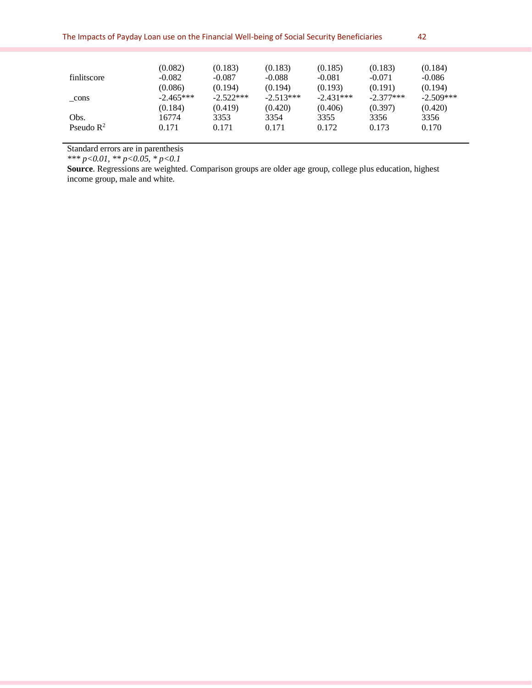| The Impacts of Payday Loan use on the Financial Well-being of Social Security Beneficiaries |             |             |             |             |             |             |  |
|---------------------------------------------------------------------------------------------|-------------|-------------|-------------|-------------|-------------|-------------|--|
|                                                                                             |             |             |             |             |             |             |  |
|                                                                                             | (0.082)     | (0.183)     | (0.183)     | (0.185)     | (0.183)     | (0.184)     |  |
| finlitscore                                                                                 | $-0.082$    | $-0.087$    | $-0.088$    | $-0.081$    | $-0.071$    | $-0.086$    |  |
|                                                                                             | (0.086)     | (0.194)     | (0.194)     | (0.193)     | (0.191)     | (0.194)     |  |
| cons                                                                                        | $-2.465***$ | $-2.522***$ | $-2.513***$ | $-2.431***$ | $-2.377***$ | $-2.509***$ |  |
|                                                                                             | (0.184)     | (0.419)     | (0.420)     | (0.406)     | (0.397)     | (0.420)     |  |
| Obs.                                                                                        | 16774       | 3353        | 3354        | 3355        | 3356        | 3356        |  |
| Pseudo $\mathbb{R}^2$                                                                       | 0.171       | 0.171       | 0.171       | 0.172       | 0.173       | 0.170       |  |

Standard errors are in parenthesis

*\*\*\* p<0.01, \*\* p<0.05, \* p<0.1* 

**Source**. Regressions are weighted. Comparison groups are older age group, college plus education, highest income group, male and white.